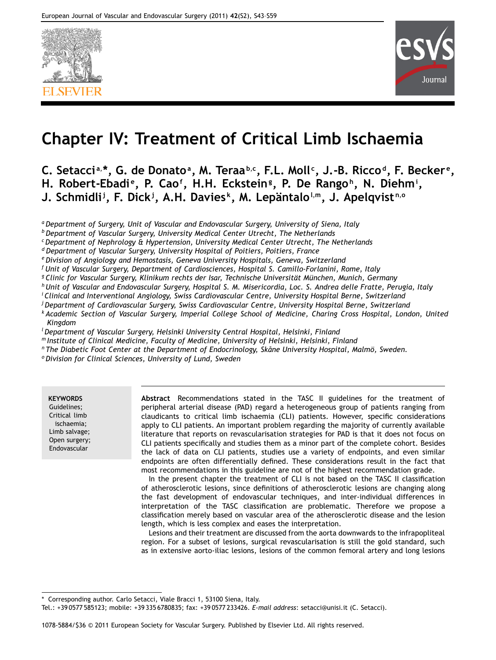



# Chapter IV: Treatment of Critical Limb Ischaemia

C. Setaccia,\*, G. de Donatoa, M. Teraab,c, F.L. Mollc, J.-B. Riccod, F. Beckere, H. Robert-Ebadi<sup>e</sup>, P. Cao<sup>r</sup>, H.H. Eckstein<sup>g</sup>, P. De Rangoh, N. Diehmi, J. Schmidli<sup>j</sup>, F. Dick<sup>j</sup>, A.H. Davies<sup>k</sup>, M. Lepäntalo<u>km,</u> J. Apelqvist<u>ho</u>

<sup>a</sup> Department of Surgery, Unit of Vascular and Endovascular Surgery, University of Siena, Italy

**b Department of Vascular Surgery, University Medical Center Utrecht, The Netherlands** 

 $c$  Department of Nephrology & Hypertension, University Medical Center Utrecht, The Netherlands

<sup>d</sup> Department of Vascular Surgery, University Hospital of Poitiers, Poitiers, France

<sup>e</sup> Division of Angiology and Hemostasis, Geneva University Hospitals, Geneva, Switzerland

f Unit of Vascular Surgery, Department of Cardiosciences, Hospital S. Camillo-Forlanini, Rome, Italy

<sup>g</sup> Clinic for Vascular Surgery, Klinikum rechts der Isar, Technische Universität München, Munich, Germany

<sup>h</sup> Unit of Vascular and Endovascular Surgery, Hospital S. M. Misericordia, Loc. S. Andrea delle Fratte, Perugia, Italy

<sup>i</sup> Clinical and Interventional Angiology, Swiss Cardiovascular Centre, University Hospital Berne, Switzerland

<sup>j</sup> Department of Cardiovascular Surgery, Swiss Cardiovascular Centre, University Hospital Berne, Switzerland

<sup>k</sup> Academic Section of Vascular Surgery, Imperial College School of Medicine, Charing Cross Hospital, London, United Kingdom

<sup>*I*</sup> Department of Vascular Surgery, Helsinki University Central Hospital, Helsinki, Finland

<sup>m</sup> Institute of Clinical Medicine, Faculty of Medicine, University of Helsinki, Helsinki, Finland

n The Diabetic Foot Center at the Department of Endocrinology, Skåne University Hospital, Malmö, Sweden.

<sup>o</sup> Division for Clinical Sciences, University of Lund, Sweden

**KEYWORDS** Guidelines; Critical limb ischaemia; Limb salvage; Open surgery; Endovascular

Abstract Recommendations stated in the TASC II guidelines for the treatment of peripheral arterial disease (PAD) regard a heterogeneous group of patients ranging from claudicants to critical limb ischaemia (CLI) patients. However, specific considerations apply to CLI patients. An important problem regarding the majority of currently available literature that reports on revascularisation strategies for PAD is that it does not focus on CLI patients specifically and studies them as a minor part of the complete cohort. Besides the lack of data on CLI patients, studies use a variety of endpoints, and even similar endpoints are often differentially defined. These considerations result in the fact that most recommendations in this guideline are not of the highest recommendation grade.

In the present chapter the treatment of CLI is not based on the TASC II classification of atherosclerotic lesions, since definitions of atherosclerotic lesions are changing along the fast development of endovascular techniques, and inter-individual differences in interpretation of the TASC classification are problematic. Therefore we propose a classification merely based on vascular area of the atherosclerotic disease and the lesion length, which is less complex and eases the interpretation.

Lesions and their treatment are discussed from the aorta downwards to the infrapopliteal region. For a subset of lesions, surgical revascularisation is still the gold standard, such as in extensive aorto-iliac lesions, lesions of the common femoral artery and long lesions

Corresponding author. Carlo Setacci, Viale Bracci 1, 53100 Siena, Italy.

Tel.: +39 0577 585123; mobile: +39 335 6780835; fax: +39 0577 233426. E-mail address: setacci@unisi.it (C. Setacci).

<sup>1078-5884/\$36 © 2011</sup> European Society for Vascular Surgery. Published by Elsevier Ltd. All rights reserved.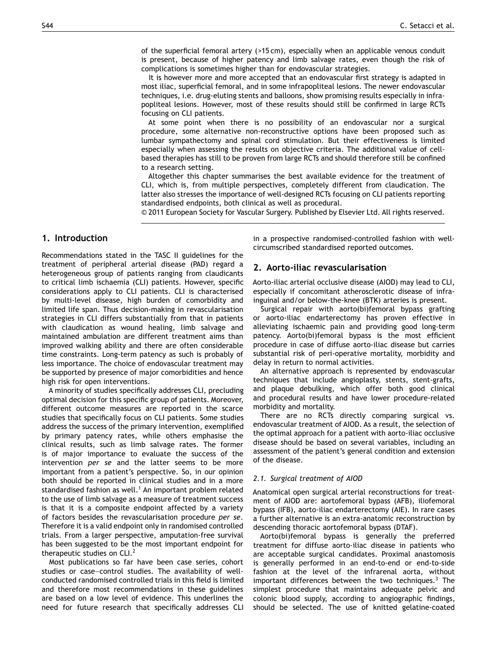of the superficial femoral artery (>15 cm), especially when an applicable venous conduit is present, because of higher patency and limb salvage rates, even though the risk of complications is sometimes higher than for endovascular strategies.

It is however more and more accepted that an endovascular first strategy is adapted in most iliac, superficial femoral, and in some infrapopliteal lesions. The newer endovascular techniques, i.e. drug-eluting stents and balloons, show promising results especially in infrapopliteal lesions. However, most of these results should still be confirmed in large RCTs focusing on CLI patients.

At some point when there is no possibility of an endovascular nor a surgical procedure, some alternative non-reconstructive options have been proposed such as lumbar sympathectomy and spinal cord stimulation. But their effectiveness is limited especially when assessing the results on objective criteria. The additional value of cellbased therapies has still to be proven from large RCTs and should therefore still be confined to a research setting.

Altogether this chapter summarises the best available evidence for the treatment of CLI, which is, from multiple perspectives, completely different from claudication. The latter also stresses the importance of well-designed RCTs focusing on CLI patients reporting standardised endpoints, both clinical as well as procedural.

© 2011 European Society for Vascular Surgery. Published by Elsevier Ltd. All rights reserved.

# 1. Introduction

Recommendations stated in the TASC II guidelines for the treatment of peripheral arterial disease (PAD) regard a heterogeneous group of patients ranging from claudicants to critical limb ischaemia (CLI) patients. However, specific considerations apply to CLI patients. CLI is characterised by multi-level disease, high burden of comorbidity and limited life span. Thus decision-making in revascularisation strategies in CLI differs substantially from that in patients with claudication as wound healing, limb salvage and maintained ambulation are different treatment aims than improved walking ability and there are often considerable time constraints. Long-term patency as such is probably of less importance. The choice of endovascular treatment may be supported by presence of major comorbidities and hence high risk for open interventions.

A minority of studies specifically addresses CLI, precluding optimal decision for this specific group of patients. Moreover, different outcome measures are reported in the scarce studies that specifically focus on CLI patients. Some studies address the success of the primary intervention, exemplified by primary patency rates, while others emphasise the clinical results, such as limb salvage rates. The former is of major importance to evaluate the success of the intervention per se and the latter seems to be more important from a patient's perspective. So, in our opinion both should be reported in clinical studies and in a more standardised fashion as well.<sup>1</sup> An important problem related to the use of limb salvage as a measure of treatment success is that it is a composite endpoint affected by a variety of factors besides the revascularisation procedure per se. Therefore it is a valid endpoint only in randomised controlled trials. From a larger perspective, amputation-free survival has been suggested to be the most important endpoint for therapeutic studies on CLI.2

Most publications so far have been case series, cohort studies or case-control studies. The availability of wellconducted randomised controlled trials in this field is limited and therefore most recommendations in these guidelines are based on a low level of evidence. This underlines the need for future research that specifically addresses CLI

in a prospective randomised-controlled fashion with wellcircumscribed standardised reported outcomes.

## 2. Aorto-iliac revascularisation

Aorto-iliac arterial occlusive disease (AIOD) may lead to CLI, especially if concomitant atherosclerotic disease of infrainguinal and/or below-the-knee (BTK) arteries is present.

Surgical repair with aorto(bi)femoral bypass grafting or aorto-iliac endarterectomy has proven effective in alleviating ischaemic pain and providing good long-term patency. Aorto(bi)femoral bypass is the most efficient procedure in case of diffuse aorto-iliac disease but carries substantial risk of peri-operative mortality, morbidity and delay in return to normal activities.

An alternative approach is represented by endovascular techniques that include angioplasty, stents, stent-grafts, and plaque debulking, which offer both good clinical and procedural results and have lower procedure-related morbidity and mortality.

There are no RCTs directly comparing surgical vs. endovascular treatment of AIOD. As a result, the selection of the optimal approach for a patient with aorto-iliac occlusive disease should be based on several variables, including an assessment of the patient's general condition and extension of the disease.

#### 2.1. Surgical treatment of AIOD

Anatomical open surgical arterial reconstructions for treatment of AIOD are: aortofemoral bypass (AFB), iliofemoral bypass (IFB), aorto-iliac endarterectomy (AIE). In rare cases a further alternative is an extra-anatomic reconstruction by descending thoracic aortofemoral bypass (DTAF).

Aorto(bi)femoral bypass is generally the preferred treatment for diffuse aorto-iliac disease in patients who are acceptable surgical candidates. Proximal anastomosis is generally performed in an end-to-end or end-to-side fashion at the level of the infrarenal aorta, without important differences between the two techniques.<sup>3</sup> The simplest procedure that maintains adequate pelvic and colonic blood supply, according to angiographic findings, should be selected. The use of knitted gelatine-coated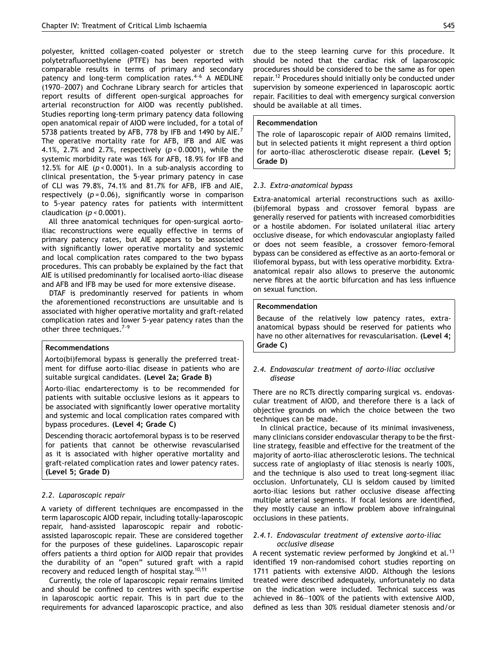polyester, knitted collagen-coated polyester or stretch polytetrafluoroethylene (PTFE) has been reported with comparable results in terms of primary and secondary patency and long-term complication rates. $4-6$  A MEDLINE (1970––2007) and Cochrane Library search for articles that report results of different open-surgical approaches for arterial reconstruction for AIOD was recently published. Studies reporting long-term primary patency data following open anatomical repair of AIOD were included, for a total of 5738 patients treated by AFB, 778 by IFB and 1490 by AIE.<sup>7</sup> The operative mortality rate for AFB, IFB and AIE was 4.1%, 2.7% and 2.7%, respectively  $(p < 0.0001)$ , while the systemic morbidity rate was 16% for AFB, 18.9% for IFB and 12.5% for AIE ( $p < 0.0001$ ). In a sub-analysis according to clinical presentation, the 5-year primary patency in case of CLI was 79.8%, 74.1% and 81.7% for AFB, IFB and AIE, respectively  $(p = 0.06)$ , significantly worse in comparison to 5-year patency rates for patients with intermittent claudication ( $p < 0.0001$ ).

All three anatomical techniques for open-surgical aortoiliac reconstructions were equally effective in terms of primary patency rates, but AIE appears to be associated with significantly lower operative mortality and systemic and local complication rates compared to the two bypass procedures. This can probably be explained by the fact that AIE is utilised predominantly for localised aorto-iliac disease and AFB and IFB may be used for more extensive disease.

DTAF is predominantly reserved for patients in whom the aforementioned reconstructions are unsuitable and is associated with higher operative mortality and graft-related complication rates and lower 5-year patency rates than the other three techniques. $7-9$ 

## Recommendations

Aorto(bi)femoral bypass is generally the preferred treatment for diffuse aorto-iliac disease in patients who are suitable surgical candidates. (Level 2a; Grade B)

Aorto-iliac endarterectomy is to be recommended for patients with suitable occlusive lesions as it appears to be associated with significantly lower operative mortality and systemic and local complication rates compared with bypass procedures. (Level 4; Grade C)

Descending thoracic aortofemoral bypass is to be reserved for patients that cannot be otherwise revascularised as it is associated with higher operative mortality and graft-related complication rates and lower patency rates. (Level 5; Grade D)

### 2.2. Laparoscopic repair

A variety of different techniques are encompassed in the term laparoscopic AIOD repair, including totally-laparoscopic repair, hand-assisted laparoscopic repair and roboticassisted laparoscopic repair. These are considered together for the purposes of these guidelines. Laparoscopic repair offers patients a third option for AIOD repair that provides the durability of an "open" sutured graft with a rapid recovery and reduced length of hospital stay.<sup>10,11</sup>

Currently, the role of laparoscopic repair remains limited and should be confined to centres with specific expertise in laparoscopic aortic repair. This is in part due to the requirements for advanced laparoscopic practice, and also

due to the steep learning curve for this procedure. It should be noted that the cardiac risk of laparoscopic procedures should be considered to be the same as for open repair.12 Procedures should initially only be conducted under supervision by someone experienced in laparoscopic aortic repair. Facilities to deal with emergency surgical conversion should be available at all times.

## Recommendation

The role of laparoscopic repair of AIOD remains limited, but in selected patients it might represent a third option for aorto-iliac atherosclerotic disease repair. (Level 5; Grade D)

### 2.3. Extra-anatomical bypass

Extra-anatomical arterial reconstructions such as axillo- (bi)femoral bypass and crossover femoral bypass are generally reserved for patients with increased comorbidities or a hostile abdomen. For isolated unilateral iliac artery occlusive disease, for which endovascular angioplasty failed or does not seem feasible, a crossover femoro-femoral bypass can be considered as effective as an aorto-femoral or iliofemoral bypass, but with less operative morbidity. Extraanatomical repair also allows to preserve the autonomic nerve fibres at the aortic bifurcation and has less influence on sexual function.

## Recommendation

Because of the relatively low patency rates, extraanatomical bypass should be reserved for patients who have no other alternatives for revascularisation. (Level 4; Grade C)

### 2.4. Endovascular treatment of aorto-iliac occlusive disease

There are no RCTs directly comparing surgical vs. endovascular treatment of AIOD, and therefore there is a lack of objective grounds on which the choice between the two techniques can be made.

In clinical practice, because of its minimal invasiveness, many clinicians consider endovascular therapy to be the firstline strategy, feasible and effective for the treatment of the majority of aorto-iliac atherosclerotic lesions. The technical success rate of angioplasty of iliac stenosis is nearly 100%, and the technique is also used to treat long-segment iliac occlusion. Unfortunately, CLI is seldom caused by limited aorto-iliac lesions but rather occlusive disease affecting multiple arterial segments. If focal lesions are identified, they mostly cause an inflow problem above infrainguinal occlusions in these patients.

## 2.4.1. Endovascular treatment of extensive aorto-iliac occlusive disease

A recent systematic review performed by Jongkind et al.<sup>13</sup> identified 19 non-randomised cohort studies reporting on 1711 patients with extensive AIOD. Although the lesions treated were described adequately, unfortunately no data on the indication were included. Technical success was achieved in 86-100% of the patients with extensive AIOD, defined as less than 30% residual diameter stenosis and/or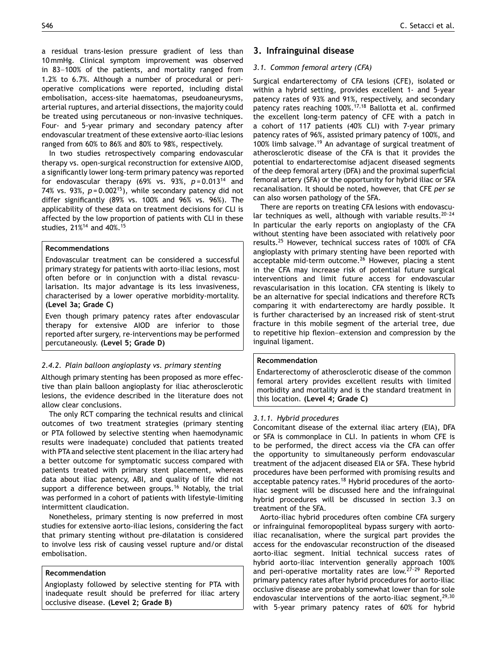a residual trans-lesion pressure gradient of less than 10 mmHg. Clinical symptom improvement was observed in 83––100% of the patients, and mortality ranged from 1.2% to 6.7%. Although a number of procedural or perioperative complications were reported, including distal embolisation, access-site haematomas, pseudoaneurysms, arterial ruptures, and arterial dissections, the majority could be treated using percutaneous or non-invasive techniques. Four- and 5-year primary and secondary patency after endovascular treatment of these extensive aorto-iliac lesions ranged from 60% to 86% and 80% to 98%, respectively.

In two studies retrospectively comparing endovascular therapy vs. open-surgical reconstruction for extensive AIOD, a significantly lower long-term primary patency was reported for endovascular therapy (69% vs. 93%,  $p = 0.013^{14}$  and 74% vs. 93%,  $p = 0.002^{15}$ ), while secondary patency did not differ significantly (89% vs. 100% and 96% vs. 96%). The applicability of these data on treatment decisions for CLI is affected by the low proportion of patients with CLI in these studies, 21%<sup>14</sup> and 40%.<sup>15</sup>

## Recommendations

Endovascular treatment can be considered a successful primary strategy for patients with aorto-iliac lesions, most often before or in conjunction with a distal revascularisation. Its major advantage is its less invasiveness, characterised by a lower operative morbidity-mortality. (Level 3a; Grade C)

Even though primary patency rates after endovascular therapy for extensive AIOD are inferior to those reported after surgery, re-interventions may be performed percutaneously. (Level 5; Grade D)

## 2.4.2. Plain balloon angioplasty vs. primary stenting

Although primary stenting has been proposed as more effective than plain balloon angioplasty for iliac atherosclerotic lesions, the evidence described in the literature does not allow clear conclusions.

The only RCT comparing the technical results and clinical outcomes of two treatment strategies (primary stenting or PTA followed by selective stenting when haemodynamic results were inadequate) concluded that patients treated with PTA and selective stent placement in the iliac artery had a better outcome for symptomatic success compared with patients treated with primary stent placement, whereas data about iliac patency, ABI, and quality of life did not support a difference between groups.<sup>16</sup> Notably, the trial was performed in a cohort of patients with lifestyle-limiting intermittent claudication.

Nonetheless, primary stenting is now preferred in most studies for extensive aorto-iliac lesions, considering the fact that primary stenting without pre-dilatation is considered to involve less risk of causing vessel rupture and/or distal embolisation.

### Recommendation

Angioplasty followed by selective stenting for PTA with inadequate result should be preferred for iliac artery occlusive disease. (Level 2; Grade B)

## 3. Infrainguinal disease

## 3.1. Common femoral artery (CFA)

Surgical endarterectomy of CFA lesions (CFE), isolated or within a hybrid setting, provides excellent 1- and 5-year patency rates of 93% and 91%, respectively, and secondary patency rates reaching 100%.<sup>17,18</sup> Ballotta et al. confirmed the excellent long-term patency of CFE with a patch in a cohort of 117 patients (40% CLI) with 7-year primary patency rates of 96%, assisted primary patency of 100%, and 100% limb salvage.19 An advantage of surgical treatment of atherosclerotic disease of the CFA is that it provides the potential to endarterectomise adjacent diseased segments of the deep femoral artery (DFA) and the proximal superficial femoral artery (SFA) or the opportunity for hybrid iliac or SFA recanalisation. It should be noted, however, that CFE per se can also worsen pathology of the SFA.

There are reports on treating CFA lesions with endovascular techniques as well, although with variable results. $20-24$ In particular the early reports on angioplasty of the CFA without stenting have been associated with relatively poor results.25 However, technical success rates of 100% of CFA angioplasty with primary stenting have been reported with acceptable mid-term outcome.<sup>26</sup> However, placing a stent in the CFA may increase risk of potential future surgical interventions and limit future access for endovascular revascularisation in this location. CFA stenting is likely to be an alternative for special indications and therefore RCTs comparing it with endarterectomy are hardly possible. It is further characterised by an increased risk of stent-strut fracture in this mobile segment of the arterial tree, due to repetitive hip flexion–extension and compression by the inguinal ligament.

### Recommendation

Endarterectomy of atherosclerotic disease of the common femoral artery provides excellent results with limited morbidity and mortality and is the standard treatment in this location. (Level 4; Grade C)

### 3.1.1. Hybrid procedures

Concomitant disease of the external iliac artery (EIA), DFA or SFA is commonplace in CLI. In patients in whom CFE is to be performed, the direct access via the CFA can offer the opportunity to simultaneously perform endovascular treatment of the adjacent diseased EIA or SFA. These hybrid procedures have been performed with promising results and acceptable patency rates.<sup>18</sup> Hybrid procedures of the aortoiliac segment will be discussed here and the infrainguinal hybrid procedures will be discussed in section 3.3 on treatment of the SFA.

Aorto-iliac hybrid procedures often combine CFA surgery or infrainguinal femoropopliteal bypass surgery with aortoiliac recanalisation, where the surgical part provides the access for the endovascular reconstruction of the diseased aorto-iliac segment. Initial technical success rates of hybrid aorto-iliac intervention generally approach 100% and peri-operative mortality rates are low.<sup>27-29</sup> Reported primary patency rates after hybrid procedures for aorto-iliac occlusive disease are probably somewhat lower than for sole endovascular interventions of the aorto-iliac segment, $29,30$ with 5-year primary patency rates of 60% for hybrid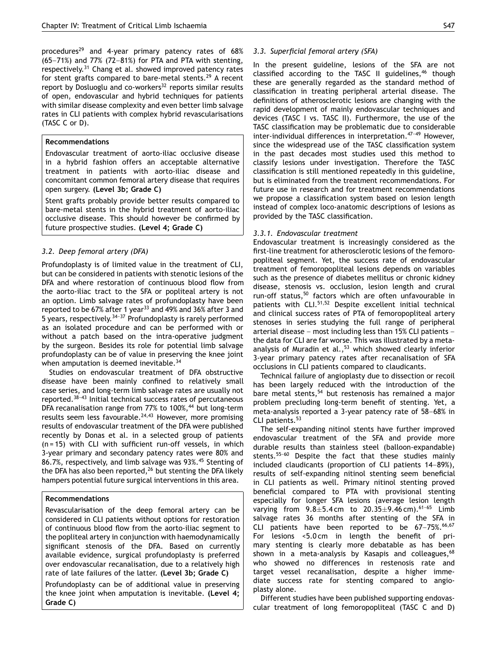procedures<sup>29</sup> and 4-year primary patency rates of  $68\%$ (65–71%) and 77% (72–81%) for PTA and PTA with stenting, respectively.31 Chang et al. showed improved patency rates for stent grafts compared to bare-metal stents.<sup>29</sup> A recent report by Dosluoglu and  $co$ -workers $32$  reports similar results of open, endovascular and hybrid techniques for patients with similar disease complexity and even better limb salvage rates in CLI patients with complex hybrid revascularisations (TASC C or D).

## Recommendations

Endovascular treatment of aorto-iliac occlusive disease in a hybrid fashion offers an acceptable alternative treatment in patients with aorto-iliac disease and concomitant common femoral artery disease that requires open surgery. (Level 3b; Grade C)

Stent grafts probably provide better results compared to bare-metal stents in the hybrid treatment of aorto-iliac occlusive disease. This should however be confirmed by future prospective studies. (Level 4; Grade C)

## 3.2. Deep femoral artery (DFA)

Profundoplasty is of limited value in the treatment of CLI, but can be considered in patients with stenotic lesions of the DFA and where restoration of continuous blood flow from the aorto-iliac tract to the SFA or popliteal artery is not an option. Limb salvage rates of profundoplasty have been reported to be 67% after 1 year<sup>33</sup> and 49% and 36% after 3 and 5 years, respectively.<sup>34-37</sup> Profundoplasty is rarely performed as an isolated procedure and can be performed with or without a patch based on the intra-operative judgment by the surgeon. Besides its role for potential limb salvage profundoplasty can be of value in preserving the knee joint when amputation is deemed inevitable.<sup>34</sup>

Studies on endovascular treatment of DFA obstructive disease have been mainly confined to relatively small case series, and long-term limb salvage rates are usually not reported.<sup>38-43</sup> Initial technical success rates of percutaneous DFA recanalisation range from 77% to 100%,<sup>44</sup> but long-term results seem less favourable.<sup>24,43</sup> However, more promising results of endovascular treatment of the DFA were published recently by Donas et al. in a selected group of patients (n = 15) with CLI with sufficient run-off vessels, in which 3-year primary and secondary patency rates were 80% and 86.7%, respectively, and limb salvage was 93%.45 Stenting of the DFA has also been reported, $26$  but stenting the DFA likely hampers potential future surgical interventions in this area.

## Recommendations

Revascularisation of the deep femoral artery can be considered in CLI patients without options for restoration of continuous blood flow from the aorto-iliac segment to the popliteal artery in conjunction with haemodynamically significant stenosis of the DFA. Based on currently available evidence, surgical profundoplasty is preferred over endovascular recanalisation, due to a relatively high rate of late failures of the latter. (Level 3b; Grade C)

Profundoplasty can be of additional value in preserving the knee joint when amputation is inevitable. (Level 4; Grade C)

In the present guideline, lesions of the SFA are not classified according to the TASC II guidelines,<sup>46</sup> though these are generally regarded as the standard method of classification in treating peripheral arterial disease. The definitions of atherosclerotic lesions are changing with the rapid development of mainly endovascular techniques and devices (TASC I vs. TASC II). Furthermore, the use of the TASC classification may be problematic due to considerable inter-individual differences in interpretation. $47-49$  However, since the widespread use of the TASC classification system in the past decades most studies used this method to classify lesions under investigation. Therefore the TASC classification is still mentioned repeatedly in this guideline, but is eliminated from the treatment recommendations. For future use in research and for treatment recommendations we propose a classification system based on lesion length instead of complex loco-anatomic descriptions of lesions as provided by the TASC classification.

## 3.3.1. Endovascular treatment

Endovascular treatment is increasingly considered as the first-line treatment for atherosclerotic lesions of the femoropopliteal segment. Yet, the success rate of endovascular treatment of femoropopliteal lesions depends on variables such as the presence of diabetes mellitus or chronic kidney disease, stenosis vs. occlusion, lesion length and crural run-off status,<sup>50</sup> factors which are often unfavourable in patients with CLI.<sup>51,52</sup> Despite excellent initial technical and clinical success rates of PTA of femoropopliteal artery stenoses in series studying the full range of peripheral arterial disease – most including less than 15% CLI patients – the data for CLI are far worse. This was illustrated by a metaanalysis of Muradin et al., $53$  which showed clearly inferior 3-year primary patency rates after recanalisation of SFA occlusions in CLI patients compared to claudicants.

Technical failure of angioplasty due to dissection or recoil has been largely reduced with the introduction of the bare metal stents,  $54$  but restenosis has remained a major problem precluding long-term benefit of stenting. Yet, a meta-analysis reported a 3-year patency rate of 58-68% in CLI patients.<sup>53</sup>

The self-expanding nitinol stents have further improved endovascular treatment of the SFA and provide more durable results than stainless steel (balloon-expandable) stents. $55-60$  Despite the fact that these studies mainly included claudicants (proportion of CLI patients 14-89%), results of self-expanding nitinol stenting seem beneficial in CLI patients as well. Primary nitinol stenting proved beneficial compared to PTA with provisional stenting especially for longer SFA lesions (average lesion length varying from  $9.8 \pm 5.4 \text{ cm}$  to  $20.35 \pm 9.46 \text{ cm}$ .  $61-65$  Limb salvage rates 36 months after stenting of the SFA in CLI patients have been reported to be  $67-75\%.66,67$ For lesions <5.0 cm in length the benefit of primary stenting is clearly more debatable as has been shown in a meta-analysis by Kasapis and colleagues, $68$ who showed no differences in restenosis rate and target vessel recanalisation, despite a higher immediate success rate for stenting compared to angioplasty alone.

Different studies have been published supporting endovascular treatment of long femoropopliteal (TASC C and D)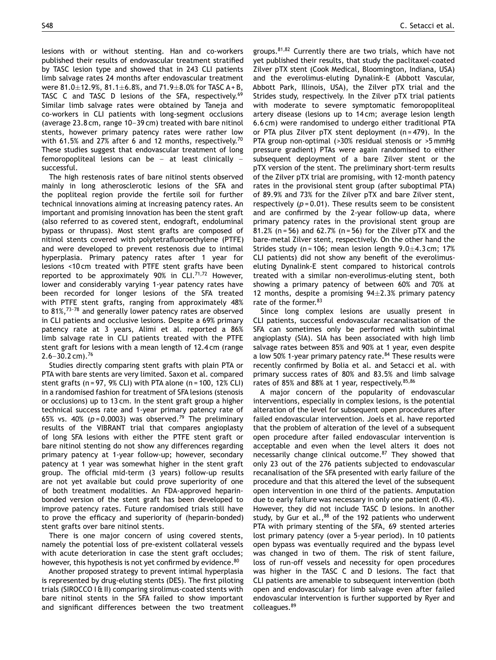lesions with or without stenting. Han and co-workers published their results of endovascular treatment stratified by TASC lesion type and showed that in 243 CLI patients limb salvage rates 24 months after endovascular treatment were 81.0 $\pm$ 12.9%, 81.1 $\pm$ 6.8%, and 71.9 $\pm$ 8.0% for TASC A + B, TASC C and TASC D lesions of the SFA, respectively.<sup>69</sup> Similar limb salvage rates were obtained by Taneja and co-workers in CLI patients with long-segment occlusions (average  $23.8$  cm, range  $10-39$  cm) treated with bare nitinol stents, however primary patency rates were rather low with 61.5% and 27% after 6 and 12 months, respectively.<sup>70</sup> These studies suggest that endovascular treatment of long femoropopliteal lesions can be  $-$  at least clinically successful.

The high restenosis rates of bare nitinol stents observed mainly in long atherosclerotic lesions of the SFA and the popliteal region provide the fertile soil for further technical innovations aiming at increasing patency rates. An important and promising innovation has been the stent graft (also referred to as covered stent, endograft, endoluminal bypass or thrupass). Most stent grafts are composed of nitinol stents covered with polytetrafluoroethylene (PTFE) and were developed to prevent restenosis due to intimal hyperplasia. Primary patency rates after 1 year for lesions <10 cm treated with PTFE stent grafts have been reported to be approximately 90% in CLI.<sup>71,72</sup> However, lower and considerably varying 1-year patency rates have been recorded for longer lesions of the SFA treated with PTFE stent grafts, ranging from approximately 48% to  $81\%,$ <sup>73-78</sup> and generally lower patency rates are observed in CLI patients and occlusive lesions. Despite a 69% primary patency rate at 3 years, Alimi et al. reported a 86% limb salvage rate in CLI patients treated with the PTFE stent graft for lesions with a mean length of 12.4 cm (range  $2.6 - 30.2$  cm).<sup>76</sup>

Studies directly comparing stent grafts with plain PTA or PTA with bare stents are very limited. Saxon et al. compared stent grafts (n = 97, 9% CLI) with PTA alone (n = 100, 12% CLI) in a randomised fashion for treatment of SFA lesions (stenosis or occlusions) up to 13 cm. In the stent graft group a higher technical success rate and 1-year primary patency rate of 65% vs. 40% ( $p = 0.0003$ ) was observed.<sup>79</sup> The preliminary results of the VIBRANT trial that compares angioplasty of long SFA lesions with either the PTFE stent graft or bare nitinol stenting do not show any differences regarding primary patency at 1-year follow-up; however, secondary patency at 1 year was somewhat higher in the stent graft group. The official mid-term (3 years) follow-up results are not yet available but could prove superiority of one of both treatment modalities. An FDA-approved heparinbonded version of the stent graft has been developed to improve patency rates. Future randomised trials still have to prove the efficacy and superiority of (heparin-bonded) stent grafts over bare nitinol stents.

There is one major concern of using covered stents, namely the potential loss of pre-existent collateral vessels with acute deterioration in case the stent graft occludes; however, this hypothesis is not yet confirmed by evidence.<sup>80</sup>

Another proposed strategy to prevent intimal hyperplasia is represented by drug-eluting stents (DES). The first piloting trials (SIROCCO I & II) comparing sirolimus-coated stents with bare nitinol stents in the SFA failed to show important and significant differences between the two treatment groups.<sup>81,82</sup> Currently there are two trials, which have not yet published their results, that study the paclitaxel-coated Zilver pTX stent (Cook Medical, Bloomington, Indiana, USA) and the everolimus-eluting Dynalink-E (Abbott Vascular, Abbott Park, Illinois, USA), the Zilver pTX trial and the Strides study, respectively. In the Zilver pTX trial patients with moderate to severe symptomatic femoropopliteal artery disease (lesions up to 14 cm; average lesion length 6.6 cm) were randomised to undergo either traditional PTA or PTA plus Zilver pTX stent deployment (n = 479). In the PTA group non-optimal (>30% residual stenosis or >5 mmHg pressure gradient) PTAs were again randomised to either subsequent deployment of a bare Zilver stent or the pTX version of the stent. The preliminary short-term results of the Zilver pTX trial are promising, with 12-month patency rates in the provisional stent group (after suboptimal PTA) of 89.9% and 73% for the Zilver pTX and bare Zilver stent, respectively ( $p = 0.01$ ). These results seem to be consistent and are confirmed by the 2-year follow-up data, where primary patency rates in the provisional stent group are 81.2% (n = 56) and 62.7% (n = 56) for the Zilver pTX and the bare-metal Zilver stent, respectively. On the other hand the Strides study (n = 106; mean lesion length  $9.0 \pm 4.3$  cm; 17% CLI patients) did not show any benefit of the everolimuseluting Dynalink-E stent compared to historical controls treated with a similar non-everolimus-eluting stent, both showing a primary patency of between 60% and 70% at 12 months, despite a promising 94±2.3% primary patency rate of the former.<sup>83</sup>

Since long complex lesions are usually present in CLI patients, successful endovascular recanalisation of the SFA can sometimes only be performed with subintimal angioplasty (SIA). SIA has been associated with high limb salvage rates between 85% and 90% at 1 year, even despite a low 50% 1-year primary patency rate.<sup>84</sup> These results were recently confirmed by Bolia et al. and Setacci et al. with primary success rates of 80% and 83.5% and limb salvage rates of 85% and 88% at 1 year, respectively.<sup>85,86</sup>

A major concern of the popularity of endovascular interventions, especially in complex lesions, is the potential alteration of the level for subsequent open procedures after failed endovascular intervention. Joels et al. have reported that the problem of alteration of the level of a subsequent open procedure after failed endovascular intervention is acceptable and even when the level alters it does not necessarily change clinical outcome.<sup>87</sup> They showed that only 23 out of the 276 patients subjected to endovascular recanalisation of the SFA presented with early failure of the procedure and that this altered the level of the subsequent open intervention in one third of the patients. Amputation due to early failure was necessary in only one patient (0.4%). However, they did not include TASC D lesions. In another study, by Gur et al., $88$  of the 192 patients who underwent PTA with primary stenting of the SFA, 69 stented arteries lost primary patency (over a 5-year period). In 10 patients open bypass was eventually required and the bypass level was changed in two of them. The risk of stent failure, loss of run-off vessels and necessity for open procedures was higher in the TASC C and D lesions. The fact that CLI patients are amenable to subsequent intervention (both open and endovascular) for limb salvage even after failed endovascular intervention is further supported by Ryer and colleagues.89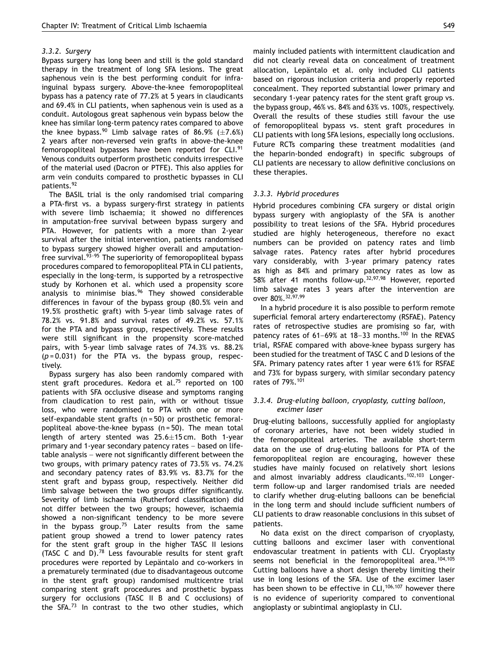### 3.3.2. Surgery

Bypass surgery has long been and still is the gold standard therapy in the treatment of long SFA lesions. The great saphenous vein is the best performing conduit for infrainguinal bypass surgery. Above-the-knee femoropopliteal bypass has a patency rate of 77.2% at 5 years in claudicants and 69.4% in CLI patients, when saphenous vein is used as a conduit. Autologous great saphenous vein bypass below the knee has similar long-term patency rates compared to above the knee bypass.<sup>90</sup> Limb salvage rates of 86.9%  $(\pm 7.6%)$ 2 years after non-reversed vein grafts in above-the-knee femoropopliteal bypasses have been reported for CLI.91 Venous conduits outperform prosthetic conduits irrespective of the material used (Dacron or PTFE). This also applies for arm vein conduits compared to prosthetic bypasses in CLI patients.<sup>92</sup>

The BASIL trial is the only randomised trial comparing a PTA-first vs. a bypass surgery-first strategy in patients with severe limb ischaemia; it showed no differences in amputation-free survival between bypass surgery and PTA. However, for patients with a more than 2-year survival after the initial intervention, patients randomised to bypass surgery showed higher overall and amputationfree survival. $93-95$  The superiority of femoropopliteal bypass procedures compared to femoropopliteal PTA in CLI patients, especially in the long-term, is supported by a retrospective study by Korhonen et al. which used a propensity score analysis to minimise bias.96 They showed considerable differences in favour of the bypass group (80.5% vein and 19.5% prosthetic graft) with 5-year limb salvage rates of 78.2% vs. 91.8% and survival rates of 49.2% vs. 57.1% for the PTA and bypass group, respectively. These results were still significant in the propensity score-matched pairs, with 5-year limb salvage rates of 74.3% vs. 88.2%  $(p = 0.031)$  for the PTA vs. the bypass group, respectively.

Bypass surgery has also been randomly compared with stent graft procedures. Kedora et al.<sup>75</sup> reported on 100 patients with SFA occlusive disease and symptoms ranging from claudication to rest pain, with or without tissue loss, who were randomised to PTA with one or more self-expandable stent grafts (n = 50) or prosthetic femoralpopliteal above-the-knee bypass (n = 50). The mean total length of artery stented was 25.6±15 cm. Both 1-year primary and 1-year secondary patency rates –– based on lifetable analysis –– were not significantly different between the two groups, with primary patency rates of 73.5% vs. 74.2% and secondary patency rates of 83.9% vs. 83.7% for the stent graft and bypass group, respectively. Neither did limb salvage between the two groups differ significantly. Severity of limb ischaemia (Rutherford classification) did not differ between the two groups; however, ischaemia showed a non-significant tendency to be more severe in the bypass group.<sup>75</sup> Later results from the same patient group showed a trend to lower patency rates for the stent graft group in the higher TASC II lesions (TASC C and D).78 Less favourable results for stent graft procedures were reported by Lepäntalo and co-workers in a prematurely terminated (due to disadvantageous outcome in the stent graft group) randomised multicentre trial comparing stent graft procedures and prosthetic bypass surgery for occlusions (TASC II B and C occlusions) of the SFA. $^{73}$  In contrast to the two other studies, which

mainly included patients with intermittent claudication and did not clearly reveal data on concealment of treatment allocation, Lepäntalo et al. only included CLI patients based on rigorous inclusion criteria and properly reported concealment. They reported substantial lower primary and secondary 1-year patency rates for the stent graft group vs. the bypass group, 46% vs. 84% and 63% vs. 100%, respectively. Overall the results of these studies still favour the use of femoropopliteal bypass vs. stent graft procedures in CLI patients with long SFA lesions, especially long occlusions. Future RCTs comparing these treatment modalities (and the heparin-bonded endograft) in specific subgroups of CLI patients are necessary to allow definitive conclusions on these therapies.

## 3.3.3. Hybrid procedures

Hybrid procedures combining CFA surgery or distal origin bypass surgery with angioplasty of the SFA is another possibility to treat lesions of the SFA. Hybrid procedures studied are highly heterogeneous, therefore no exact numbers can be provided on patency rates and limb salvage rates. Patency rates after hybrid procedures vary considerably, with 3-year primary patency rates as high as 84% and primary patency rates as low as 58% after 41 months follow-up.32,97,98 However, reported limb salvage rates 3 years after the intervention are over 80%.32,97,99

In a hybrid procedure it is also possible to perform remote superficial femoral artery endarterectomy (RSFAE). Patency rates of retrospective studies are promising so far, with patency rates of  $61-69\%$  at  $18-33$  months.<sup>100</sup> In the REVAS trial, RSFAE compared with above-knee bypass surgery has been studied for the treatment of TASC C and D lesions of the SFA. Primary patency rates after 1 year were 61% for RSFAE and 73% for bypass surgery, with similar secondary patency rates of 79%.101

## 3.3.4. Drug-eluting balloon, cryoplasty, cutting balloon, excimer laser

Drug-eluting balloons, successfully applied for angioplasty of coronary arteries, have not been widely studied in the femoropopliteal arteries. The available short-term data on the use of drug-eluting balloons for PTA of the femoropopliteal region are encouraging, however these studies have mainly focused on relatively short lesions and almost invariably address claudicants.<sup>102,103</sup> Longerterm follow-up and larger randomised trials are needed to clarify whether drug-eluting balloons can be beneficial in the long term and should include sufficient numbers of CLI patients to draw reasonable conclusions in this subset of patients.

No data exist on the direct comparison of cryoplasty, cutting balloons and excimer laser with conventional endovascular treatment in patients with CLI. Cryoplasty seems not beneficial in the femoropopliteal area.<sup>104,105</sup> Cutting balloons have a short design thereby limiting their use in long lesions of the SFA. Use of the excimer laser has been shown to be effective in CLI, $106,107$  however there is no evidence of superiority compared to conventional angioplasty or subintimal angioplasty in CLI.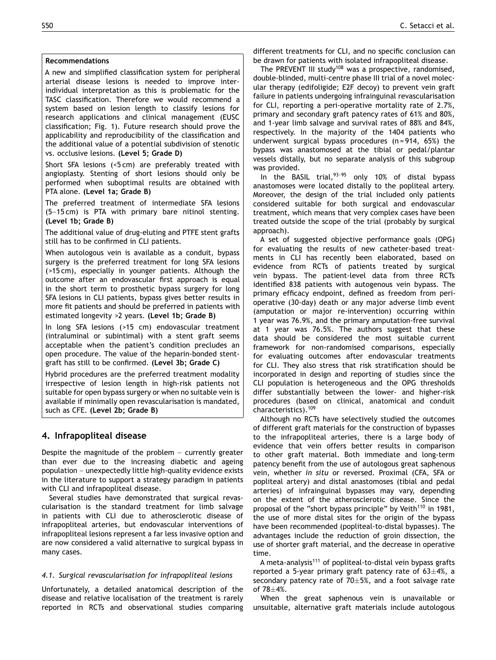## Recommendations

A new and simplified classification system for peripheral arterial disease lesions is needed to improve interindividual interpretation as this is problematic for the TASC classification. Therefore we would recommend a system based on lesion length to classify lesions for research applications and clinical management (EUSC classification; Fig. 1). Future research should prove the applicability and reproducibility of the classification and the additional value of a potential subdivision of stenotic vs. occlusive lesions. (Level 5; Grade D)

Short SFA lesions (<5 cm) are preferably treated with angioplasty. Stenting of short lesions should only be performed when suboptimal results are obtained with PTA alone. (Level 1a; Grade B)

The preferred treatment of intermediate SFA lesions (5––15 cm) is PTA with primary bare nitinol stenting. (Level 1b; Grade B)

The additional value of drug-eluting and PTFE stent grafts still has to be confirmed in CLI patients.

When autologous vein is available as a conduit, bypass surgery is the preferred treatment for long SFA lesions (>15 cm), especially in younger patients. Although the outcome after an endovascular first approach is equal in the short term to prosthetic bypass surgery for long SFA lesions in CLI patients, bypass gives better results in more fit patients and should be preferred in patients with estimated longevity >2 years. (Level 1b; Grade B)

In long SFA lesions (>15 cm) endovascular treatment (intraluminal or subintimal) with a stent graft seems acceptable when the patient's condition precludes an open procedure. The value of the heparin-bonded stentgraft has still to be confirmed. (Level 3b; Grade C)

Hybrid procedures are the preferred treatment modality irrespective of lesion length in high-risk patients not suitable for open bypass surgery or when no suitable vein is available if minimally open revascularisation is mandated, such as CFE. (Level 2b; Grade B)

# 4. Infrapopliteal disease

Despite the magnitude of the problem  $-$  currently greater than ever due to the increasing diabetic and ageing  $p$ opulation – unexpectedly little high-quality evidence exists in the literature to support a strategy paradigm in patients with CLI and infrapopliteal disease.

Several studies have demonstrated that surgical revascularisation is the standard treatment for limb salvage in patients with CLI due to atherosclerotic disease of infrapopliteal arteries, but endovascular interventions of infrapopliteal lesions represent a far less invasive option and are now considered a valid alternative to surgical bypass in many cases.

## 4.1. Surgical revascularisation for infrapopliteal lesions

Unfortunately, a detailed anatomical description of the disease and relative localisation of the treatment is rarely reported in RCTs and observational studies comparing different treatments for CLI, and no specific conclusion can be drawn for patients with isolated infrapopliteal disease.

The PREVENT III study<sup>108</sup> was a prospective, randomised, double-blinded, multi-centre phase III trial of a novel molecular therapy (edifoligide; E2F decoy) to prevent vein graft failure in patients undergoing infrainguinal revascularisation for CLI, reporting a peri-operative mortality rate of 2.7%, primary and secondary graft patency rates of 61% and 80%, and 1-year limb salvage and survival rates of 88% and 84%, respectively. In the majority of the 1404 patients who underwent surgical bypass procedures (n = 914, 65%) the bypass was anastomosed at the tibial or pedal/plantar vessels distally, but no separate analysis of this subgroup was provided.

In the BASIL trial,  $93-95$  only 10% of distal bypass anastomoses were located distally to the popliteal artery. Moreover, the design of the trial included only patients considered suitable for both surgical and endovascular treatment, which means that very complex cases have been treated outside the scope of the trial (probably by surgical approach).

A set of suggested objective performance goals (OPG) for evaluating the results of new catheter-based treatments in CLI has recently been elaborated, based on evidence from RCTs of patients treated by surgical vein bypass. The patient-level data from three RCTs identified 838 patients with autogenous vein bypass. The primary efficacy endpoint, defined as freedom from perioperative (30-day) death or any major adverse limb event (amputation or major re-intervention) occurring within 1 year was 76.9%, and the primary amputation-free survival at 1 year was 76.5%. The authors suggest that these data should be considered the most suitable current framework for non-randomised comparisons, especially for evaluating outcomes after endovascular treatments for CLI. They also stress that risk stratification should be incorporated in design and reporting of studies since the CLI population is heterogeneous and the OPG thresholds differ substantially between the lower- and higher-risk procedures (based on clinical, anatomical and conduit characteristics).109

Although no RCTs have selectively studied the outcomes of different graft materials for the construction of bypasses to the infrapopliteal arteries, there is a large body of evidence that vein offers better results in comparison to other graft material. Both immediate and long-term patency benefit from the use of autologous great saphenous vein, whether in situ or reversed. Proximal (CFA, SFA or popliteal artery) and distal anastomoses (tibial and pedal arteries) of infrainguinal bypasses may vary, depending on the extent of the atherosclerotic disease. Since the proposal of the "short bypass principle" by Veith<sup>110</sup> in 1981, the use of more distal sites for the origin of the bypass have been recommended (popliteal-to-distal bypasses). The advantages include the reduction of groin dissection, the use of shorter graft material, and the decrease in operative time.

A meta-analysis<sup>111</sup> of popliteal-to-distal vein bypass grafts reported a 5-year primary graft patency rate of  $63\pm4\%$ , a secondary patency rate of  $70\pm5%$ , and a foot salvage rate of  $78 + 4%$ .

When the great saphenous vein is unavailable or unsuitable, alternative graft materials include autologous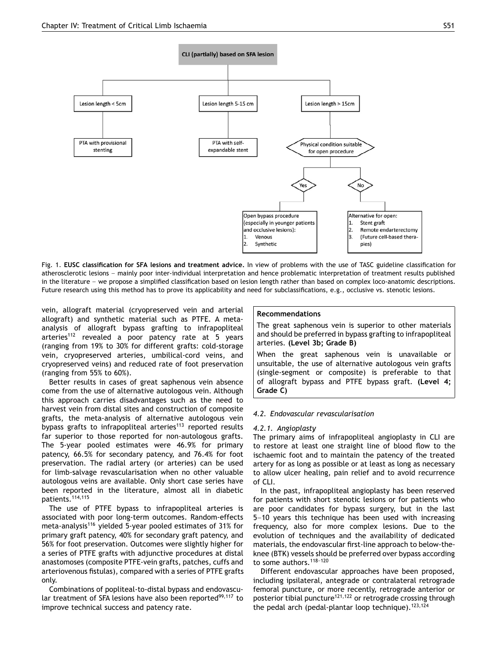

Fig. 1. EUSC classification for SFA lesions and treatment advice. In view of problems with the use of TASC guideline classification for atherosclerotic lesions –– mainly poor inter-individual interpretation and hence problematic interpretation of treatment results published in the literature –– we propose a simplified classification based on lesion length rather than based on complex loco-anatomic descriptions. Future research using this method has to prove its applicability and need for subclassifications, e.g., occlusive vs. stenotic lesions.

vein, allograft material (cryopreserved vein and arterial allograft) and synthetic material such as PTFE. A metaanalysis of allograft bypass grafting to infrapopliteal arteries<sup>112</sup> revealed a poor patency rate at 5 years (ranging from 19% to 30% for different grafts: cold-storage vein, cryopreserved arteries, umbilical-cord veins, and cryopreserved veins) and reduced rate of foot preservation (ranging from 55% to 60%).

Better results in cases of great saphenous vein absence come from the use of alternative autologous vein. Although this approach carries disadvantages such as the need to harvest vein from distal sites and construction of composite grafts, the meta-analysis of alternative autologous vein bypass grafts to infrapopliteal arteries<sup>113</sup> reported results far superior to those reported for non-autologous grafts. The 5-year pooled estimates were 46.9% for primary patency, 66.5% for secondary patency, and 76.4% for foot preservation. The radial artery (or arteries) can be used for limb-salvage revascularisation when no other valuable autologous veins are available. Only short case series have been reported in the literature, almost all in diabetic patients.114,115

The use of PTFE bypass to infrapopliteal arteries is associated with poor long-term outcomes. Random-effects meta-analysis<sup>116</sup> yielded 5-year pooled estimates of 31% for primary graft patency, 40% for secondary graft patency, and 56% for foot preservation. Outcomes were slightly higher for a series of PTFE grafts with adjunctive procedures at distal anastomoses (composite PTFE-vein grafts, patches, cuffs and arteriovenous fistulas), compared with a series of PTFE grafts only.

Combinations of popliteal-to-distal bypass and endovascular treatment of SFA lesions have also been reported $99,117$  to improve technical success and patency rate.

#### Recommendations

The great saphenous vein is superior to other materials and should be preferred in bypass grafting to infrapopliteal arteries. (Level 3b; Grade B)

When the great saphenous vein is unavailable or unsuitable, the use of alternative autologous vein grafts (single-segment or composite) is preferable to that of allograft bypass and PTFE bypass graft. (Level 4; Grade C)

### 4.2. Endovascular revascularisation

#### 4.2.1. Angioplasty

The primary aims of infrapopliteal angioplasty in CLI are to restore at least one straight line of blood flow to the ischaemic foot and to maintain the patency of the treated artery for as long as possible or at least as long as necessary to allow ulcer healing, pain relief and to avoid recurrence of CLI.

In the past, infrapopliteal angioplasty has been reserved for patients with short stenotic lesions or for patients who are poor candidates for bypass surgery, but in the last 5––10 years this technique has been used with increasing frequency, also for more complex lesions. Due to the evolution of techniques and the availability of dedicated materials, the endovascular first-line approach to below-theknee (BTK) vessels should be preferred over bypass according to some authors.<sup>118-120</sup>

Different endovascular approaches have been proposed, including ipsilateral, antegrade or contralateral retrograde femoral puncture, or more recently, retrograde anterior or posterior tibial puncture<sup>121,122</sup> or retrograde crossing through the pedal arch (pedal-plantar loop technique).<sup>123,124</sup>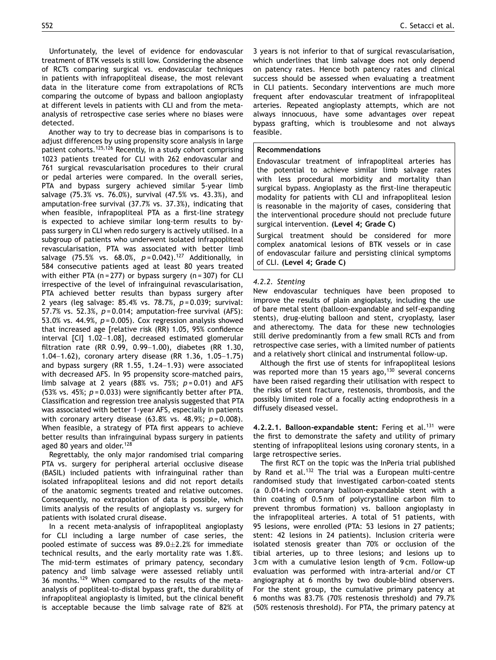Unfortunately, the level of evidence for endovascular treatment of BTK vessels is still low. Considering the absence of RCTs comparing surgical vs. endovascular techniques in patients with infrapopliteal disease, the most relevant data in the literature come from extrapolations of RCTs comparing the outcome of bypass and balloon angioplasty at different levels in patients with CLI and from the metaanalysis of retrospective case series where no biases were detected.

Another way to try to decrease bias in comparisons is to adjust differences by using propensity score analysis in large patient cohorts.<sup>125,126</sup> Recently, in a study cohort comprising 1023 patients treated for CLI with 262 endovascular and 761 surgical revascularisation procedures to their crural or pedal arteries were compared. In the overall series, PTA and bypass surgery achieved similar 5-year limb salvage (75.3% vs. 76.0%), survival (47.5% vs. 43.3%), and amputation-free survival (37.7% vs. 37.3%), indicating that when feasible, infrapopliteal PTA as a first-line strategy is expected to achieve similar long-term results to bypass surgery in CLI when redo surgery is actively utilised. In a subgroup of patients who underwent isolated infrapopliteal revascularisation, PTA was associated with better limb salvage (75.5% vs. 68.0%,  $p = 0.042$ ).<sup>127</sup> Additionally, in 584 consecutive patients aged at least 80 years treated with either PTA ( $n = 277$ ) or bypass surgery ( $n = 307$ ) for CLI irrespective of the level of infrainguinal revascularisation, PTA achieved better results than bypass surgery after 2 years (leg salvage: 85.4% vs. 78.7%,  $p = 0.039$ ; survival: 57.7% vs. 52.3%,  $p = 0.014$ ; amputation-free survival (AFS): 53.0% vs. 44.9%,  $p = 0.005$ ). Cox regression analysis showed that increased age [relative risk (RR) 1.05, 95% confidence interval [CI] 1.02-1.08], decreased estimated glomerular filtration rate (RR 0.99, 0.99-1.00), diabetes (RR 1.30, 1.04––1.62), coronary artery disease (RR 1.36, 1.05––1.75) and bypass surgery (RR 1.55, 1.24-1.93) were associated with decreased AFS. In 95 propensity score-matched pairs, limb salvage at 2 years (88% vs. 75%;  $p=0.01$ ) and AFS (53% vs. 45%;  $p = 0.033$ ) were significantly better after PTA. Classification and regression tree analysis suggested that PTA was associated with better 1-year AFS, especially in patients with coronary artery disease  $(63.8\% \text{ vs. } 48.9\%; p=0.008)$ . When feasible, a strategy of PTA first appears to achieve better results than infrainguinal bypass surgery in patients aged 80 years and older.<sup>128</sup>

Regrettably, the only major randomised trial comparing PTA vs. surgery for peripheral arterial occlusive disease (BASIL) included patients with infrainguinal rather than isolated infrapopliteal lesions and did not report details of the anatomic segments treated and relative outcomes. Consequently, no extrapolation of data is possible, which limits analysis of the results of angioplasty vs. surgery for patients with isolated crural disease.

In a recent meta-analysis of infrapopliteal angioplasty for CLI including a large number of case series, the pooled estimate of success was  $89.0 \pm 2.2$ % for immediate technical results, and the early mortality rate was 1.8%. The mid-term estimates of primary patency, secondary patency and limb salvage were assessed reliably until 36 months.<sup>129</sup> When compared to the results of the metaanalysis of popliteal-to-distal bypass graft, the durability of infrapopliteal angioplasty is limited, but the clinical benefit is acceptable because the limb salvage rate of 82% at

3 years is not inferior to that of surgical revascularisation, which underlines that limb salvage does not only depend on patency rates. Hence both patency rates and clinical success should be assessed when evaluating a treatment in CLI patients. Secondary interventions are much more frequent after endovascular treatment of infrapopliteal arteries. Repeated angioplasty attempts, which are not always innocuous, have some advantages over repeat bypass grafting, which is troublesome and not always feasible.

#### Recommendations

Endovascular treatment of infrapopliteal arteries has the potential to achieve similar limb salvage rates with less procedural morbidity and mortality than surgical bypass. Angioplasty as the first-line therapeutic modality for patients with CLI and infrapopliteal lesion is reasonable in the majority of cases, considering that the interventional procedure should not preclude future surgical intervention. (Level 4; Grade C)

Surgical treatment should be considered for more complex anatomical lesions of BTK vessels or in case of endovascular failure and persisting clinical symptoms of CLI. (Level 4; Grade C)

#### 4.2.2. Stenting

New endovascular techniques have been proposed to improve the results of plain angioplasty, including the use of bare metal stent (balloon-expandable and self-expanding stents), drug-eluting balloon and stent, cryoplasty, laser and atherectomy. The data for these new technologies still derive predominantly from a few small RCTs and from retrospective case series, with a limited number of patients and a relatively short clinical and instrumental follow-up.

Although the first use of stents for infrapopliteal lesions was reported more than 15 years ago, $130$  several concerns have been raised regarding their utilisation with respect to the risks of stent fracture, restenosis, thrombosis, and the possibly limited role of a focally acting endoprothesis in a diffusely diseased vessel.

4.2.2.1. Balloon-expandable stent: Fering et al.<sup>131</sup> were the first to demonstrate the safety and utility of primary stenting of infrapopliteal lesions using coronary stents, in a large retrospective series.

The first RCT on the topic was the InPeria trial published by Rand et al.<sup>132</sup> The trial was a European multi-centre randomised study that investigated carbon-coated stents (a 0.014-inch coronary balloon-expandable stent with a thin coating of 0.5 nm of polycrystalline carbon film to prevent thrombus formation) vs. balloon angioplasty in the infrapopliteal arteries. A total of 51 patients, with 95 lesions, were enrolled (PTA: 53 lesions in 27 patients; stent: 42 lesions in 24 patients). Inclusion criteria were isolated stenosis greater than 70% or occlusion of the tibial arteries, up to three lesions; and lesions up to 3 cm with a cumulative lesion length of 9 cm. Follow-up evaluation was performed with intra-arterial and/or CT angiography at 6 months by two double-blind observers. For the stent group, the cumulative primary patency at 6 months was 83.7% (70% restenosis threshold) and 79.7% (50% restenosis threshold). For PTA, the primary patency at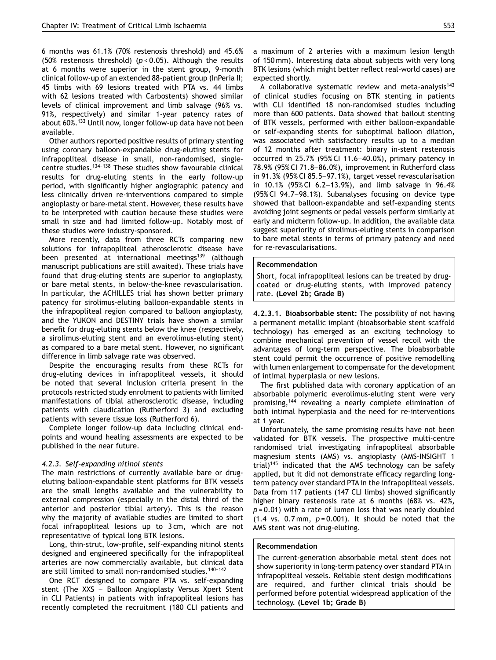6 months was 61.1% (70% restenosis threshold) and 45.6% (50% restenosis threshold) ( $p < 0.05$ ). Although the results at 6 months were superior in the stent group, 9-month clinical follow-up of an extended 88-patient group (InPeria II; 45 limbs with 69 lesions treated with PTA vs. 44 limbs with 62 lesions treated with Carbostents) showed similar levels of clinical improvement and limb salvage (96% vs. 91%, respectively) and similar 1-year patency rates of about 60%.133 Until now, longer follow-up data have not been available.

Other authors reported positive results of primary stenting using coronary balloon-expandable drug-eluting stents for infrapopliteal disease in small, non-randomised, singlecentre studies.<sup>134-138</sup> These studies show favourable clinical results for drug-eluting stents in the early follow-up period, with significantly higher angiographic patency and less clinically driven re-interventions compared to simple angioplasty or bare-metal stent. However, these results have to be interpreted with caution because these studies were small in size and had limited follow-up. Notably most of these studies were industry-sponsored.

More recently, data from three RCTs comparing new solutions for infrapopliteal atherosclerotic disease have been presented at international meetings<sup>139</sup> (although manuscript publications are still awaited). These trials have found that drug-eluting stents are superior to angioplasty, or bare metal stents, in below-the-knee revascularisation. In particular, the ACHILLES trial has shown better primary patency for sirolimus-eluting balloon-expandable stents in the infrapopliteal region compared to balloon angioplasty, and the YUKON and DESTINY trials have shown a similar benefit for drug-eluting stents below the knee (respectively, a sirolimus-eluting stent and an everolimus-eluting stent) as compared to a bare metal stent. However, no significant difference in limb salvage rate was observed.

Despite the encouraging results from these RCTs for drug-eluting devices in infrapopliteal vessels, it should be noted that several inclusion criteria present in the protocols restricted study enrolment to patients with limited manifestations of tibial atherosclerotic disease, including patients with claudication (Rutherford 3) and excluding patients with severe tissue loss (Rutherford 6).

Complete longer follow-up data including clinical endpoints and wound healing assessments are expected to be published in the near future.

#### 4.2.3. Self-expanding nitinol stents

The main restrictions of currently available bare or drugeluting balloon-expandable stent platforms for BTK vessels are the small lengths available and the vulnerability to external compression (especially in the distal third of the anterior and posterior tibial artery). This is the reason why the majority of available studies are limited to short focal infrapopliteal lesions up to 3 cm, which are not representative of typical long BTK lesions.

Long, thin-strut, low-profile, self-expanding nitinol stents designed and engineered specifically for the infrapopliteal arteries are now commercially available, but clinical data are still limited to small non-randomised studies.<sup>140-142</sup>

One RCT designed to compare PTA vs. self-expanding stent (The XXS –– Balloon Angioplasty Versus Xpert Stent in CLI Patients) in patients with infrapopliteal lesions has recently completed the recruitment (180 CLI patients and

A collaborative systematic review and meta-analysis<sup>143</sup> of clinical studies focusing on BTK stenting in patients with CLI identified 18 non-randomised studies including more than 600 patients. Data showed that bailout stenting of BTK vessels, performed with either balloon-expandable or self-expanding stents for suboptimal balloon dilation, was associated with satisfactory results up to a median of 12 months after treatment: binary in-stent restenosis occurred in  $25.7\%$  (95% CI 11.6–40.0%), primary patency in 78.9% (95% CI 71.8––86.0%), improvement in Rutherford class in 91.3% (95% CI 85.5-97.1%), target vessel revascularisation in 10.1% (95% CI 6.2-13.9%), and limb salvage in 96.4% (95% CI 94.7––98.1%). Subanalyses focusing on device type showed that balloon-expandable and self-expanding stents avoiding joint segments or pedal vessels perform similarly at early and midterm follow-up. In addition, the available data suggest superiority of sirolimus-eluting stents in comparison to bare metal stents in terms of primary patency and need for re-revascularisations.

#### Recommendation

Short, focal infrapopliteal lesions can be treated by drugcoated or drug-eluting stents, with improved patency rate. (Level 2b; Grade B)

4.2.3.1. Bioabsorbable stent: The possibility of not having a permanent metallic implant (bioabsorbable stent scaffold technology) has emerged as an exciting technology to combine mechanical prevention of vessel recoil with the advantages of long-term perspective. The bioabsorbable stent could permit the occurrence of positive remodelling with lumen enlargement to compensate for the development of intimal hyperplasia or new lesions.

The first published data with coronary application of an absorbable polymeric everolimus-eluting stent were very promising,<sup>144</sup> revealing a nearly complete elimination of both intimal hyperplasia and the need for re-interventions at 1 year.

Unfortunately, the same promising results have not been validated for BTK vessels. The prospective multi-centre randomised trial investigating infrapopliteal absorbable magnesium stents (AMS) vs. angioplasty (AMS-INSIGHT 1 trial)<sup>145</sup> indicated that the AMS technology can be safely applied, but it did not demonstrate efficacy regarding longterm patency over standard PTA in the infrapopliteal vessels. Data from 117 patients (147 CLI limbs) showed significantly higher binary restenosis rate at 6 months (68% vs. 42%,  $p = 0.01$ ) with a rate of lumen loss that was nearly doubled (1.4 vs. 0.7 mm,  $p = 0.001$ ). It should be noted that the AMS stent was not drug-eluting.

#### Recommendation

The current-generation absorbable metal stent does not show superiority in long-term patency over standard PTA in infrapopliteal vessels. Reliable stent design modifications are required, and further clinical trials should be performed before potential widespread application of the technology. (Level 1b; Grade B)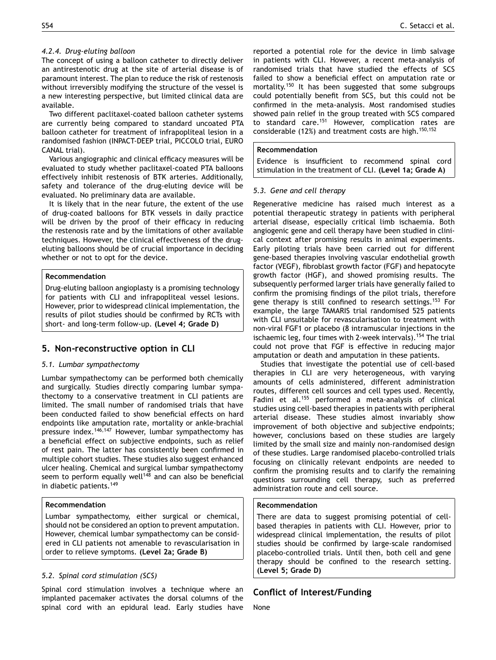## 4.2.4. Drug-eluting balloon

The concept of using a balloon catheter to directly deliver an antirestenotic drug at the site of arterial disease is of paramount interest. The plan to reduce the risk of restenosis without irreversibly modifying the structure of the vessel is a new interesting perspective, but limited clinical data are available.

Two different paclitaxel-coated balloon catheter systems are currently being compared to standard uncoated PTA balloon catheter for treatment of infrapopliteal lesion in a randomised fashion (INPACT-DEEP trial, PICCOLO trial, EURO CANAL trial).

Various angiographic and clinical efficacy measures will be evaluated to study whether paclitaxel-coated PTA balloons effectively inhibit restenosis of BTK arteries. Additionally, safety and tolerance of the drug-eluting device will be evaluated. No preliminary data are available.

It is likely that in the near future, the extent of the use of drug-coated balloons for BTK vessels in daily practice will be driven by the proof of their efficacy in reducing the restenosis rate and by the limitations of other available techniques. However, the clinical effectiveness of the drugeluting balloons should be of crucial importance in deciding whether or not to opt for the device.

## Recommendation

Drug-eluting balloon angioplasty is a promising technology for patients with CLI and infrapopliteal vessel lesions. However, prior to widespread clinical implementation, the results of pilot studies should be confirmed by RCTs with short- and long-term follow-up. (Level 4; Grade D)

# 5. Non-reconstructive option in CLI

### 5.1. Lumbar sympathectomy

Lumbar sympathectomy can be performed both chemically and surgically. Studies directly comparing lumbar sympathectomy to a conservative treatment in CLI patients are limited. The small number of randomised trials that have been conducted failed to show beneficial effects on hard endpoints like amputation rate, mortality or ankle-brachial pressure index.146,147 However, lumbar sympathectomy has a beneficial effect on subjective endpoints, such as relief of rest pain. The latter has consistently been confirmed in multiple cohort studies. These studies also suggest enhanced ulcer healing. Chemical and surgical lumbar sympathectomy seem to perform equally well<sup>148</sup> and can also be beneficial in diabetic patients.149

### Recommendation

Lumbar sympathectomy, either surgical or chemical, should not be considered an option to prevent amputation. However, chemical lumbar sympathectomy can be considered in CLI patients not amenable to revascularisation in order to relieve symptoms. (Level 2a; Grade B)

## 5.2. Spinal cord stimulation (SCS)

Spinal cord stimulation involves a technique where an implanted pacemaker activates the dorsal columns of the spinal cord with an epidural lead. Early studies have reported a potential role for the device in limb salvage in patients with CLI. However, a recent meta-analysis of randomised trials that have studied the effects of SCS failed to show a beneficial effect on amputation rate or mortality.150 It has been suggested that some subgroups could potentially benefit from SCS, but this could not be confirmed in the meta-analysis. Most randomised studies showed pain relief in the group treated with SCS compared to standard care.<sup>151</sup> However, complication rates are considerable (12%) and treatment costs are high.<sup>150,152</sup>

## Recommendation

Evidence is insufficient to recommend spinal cord stimulation in the treatment of CLI. (Level 1a; Grade A)

## 5.3. Gene and cell therapy

Regenerative medicine has raised much interest as a potential therapeutic strategy in patients with peripheral arterial disease, especially critical limb ischaemia. Both angiogenic gene and cell therapy have been studied in clinical context after promising results in animal experiments. Early piloting trials have been carried out for different gene-based therapies involving vascular endothelial growth factor (VEGF), fibroblast growth factor (FGF) and hepatocyte growth factor (HGF), and showed promising results. The subsequently performed larger trials have generally failed to confirm the promising findings of the pilot trials, therefore gene therapy is still confined to research settings.<sup>153</sup> For example, the large TAMARIS trial randomised 525 patients with CLI unsuitable for revascularisation to treatment with non-viral FGF1 or placebo (8 intramuscular injections in the ischaemic leg, four times with 2-week intervals).<sup>154</sup> The trial could not prove that FGF is effective in reducing major amputation or death and amputation in these patients.

Studies that investigate the potential use of cell-based therapies in CLI are very heterogeneous, with varying amounts of cells administered, different administration routes, different cell sources and cell types used. Recently, Fadini et al.<sup>155</sup> performed a meta-analysis of clinical studies using cell-based therapies in patients with peripheral arterial disease. These studies almost invariably show improvement of both objective and subjective endpoints; however, conclusions based on these studies are largely limited by the small size and mainly non-randomised design of these studies. Large randomised placebo-controlled trials focusing on clinically relevant endpoints are needed to confirm the promising results and to clarify the remaining questions surrounding cell therapy, such as preferred administration route and cell source.

### Recommendation

There are data to suggest promising potential of cellbased therapies in patients with CLI. However, prior to widespread clinical implementation, the results of pilot studies should be confirmed by large-scale randomised placebo-controlled trials. Until then, both cell and gene therapy should be confined to the research setting. (Level 5; Grade D)

# Conflict of Interest/Funding

None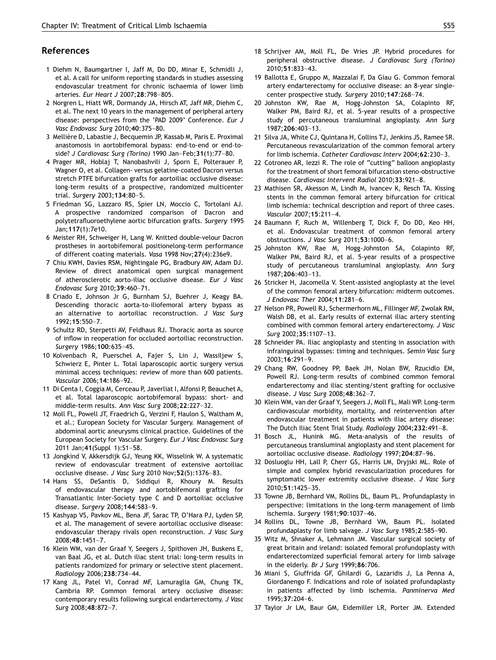## References

- 1 Diehm N, Baumgartner I, Jaff M, Do DD, Minar E, Schmidli J, et al. A call for uniform reporting standards in studies assessing endovascular treatment for chronic ischaemia of lower limb arteries. Eur Heart J 2007; 28:798-805.
- 2 Norgren L, Hiatt WR, Dormandy JA, Hirsch AT, Jaff MR, Diehm C, et al. The next 10 years in the management of peripheral artery disease: perspectives from the 'PAD 2009' Conference. Eur J Vasc Endovasc Surg 2010; 40: 375-80.
- 3 Mellière D, Labastie J, Becquemin JP, Kassab M, Paris E. Proximal anastomosis in aortobifemoral bypass: end-to-end or end-toside? J Cardiovasc Surg (Torino) 1990 Jan-Feb; 31(1): 77-80.
- 4 Prager MR, Hoblaj T, Nanobashvili J, Sporn E, Polterauer P, Wagner O, et al. Collagen- versus gelatine-coated Dacron versus stretch PTFE bifurcation grafts for aortoiliac occlusive disease: long-term results of a prospective, randomized multicenter trial. Surgery 2003;134:80-5.
- 5 Friedman SG, Lazzaro RS, Spier LN, Moccio C, Tortolani AJ. A prospective randomized comparison of Dacron and polytetrafluoroethylene aortic bifurcation grafts. Surgery 1995 Jan;117(1):7e10.
- 6 Meister RH, Schweiger H, Lang W. Knitted double-velour Dacron prostheses in aortobifemoral positionelong-term performance of different coating materials. Vasa 1998 Nov;27(4):236e9.
- 7 Chiu KWH, Davies RSM, Nightingale PG, Bradbury AW, Adam DJ. Review of direct anatomical open surgical management of atherosclerotic aorto-iliac occlusive disease. Eur J Vasc Endovasc Surg 2010;39:460––71.
- 8 Criado E, Johnson Jr G, Burnham SJ, Buehrer J, Keagy BA. Descending thoracic aorta-to-iliofemoral artery bypass as an alternative to aortoiliac reconstruction. J Vasc Surg 1992;15:550––7.
- 9 Schultz RD, Sterpetti AV, Feldhaus RJ. Thoracic aorta as source of inflow in reoperation for occluded aortoiliac reconstruction. Surgery 1986;100:635-45.
- 10 Kolvenbach R, Puerschel A, Fajer S, Lin J, Wassiljew S, Schwierz E, Pinter L. Total laparoscopic aortic surgery versus minimal access techniques: review of more than 600 patients. Vascular 2006;14:186-92.
- 11 Di Centa I, Coggia M, Cerceau P, Javerliat I, Alfonsi P, Beauchet A, et al. Total laparoscopic aortobifemoral bypass: short- and middle-term results. Ann Vasc Surg 2008;22:227-32.
- 12 Moll FL, Powell JT, Fraedrich G, Verzini F, Haulon S, Waltham M, et al.; European Society for Vascular Surgery. Management of abdominal aortic aneurysms clinical practice. Guidelines of the European Society for Vascular Surgery. Eur J Vasc Endovasc Surg 2011 Jan; 41 (Suppl 1): S1-58.
- 13 Jongkind V, Akkersdijk GJ, Yeung KK, Wisselink W. A systematic review of endovascular treatment of extensive aortoiliac occlusive disease. J Vasc Surg 2010 Nov; 52(5): 1376-83.
- 14 Hans SS, DeSantis D, Siddiqui R, Khoury M. Results of endovascular therapy and aortobifemoral grafting for Transatlantic Inter-Society type C and D aortoiliac occlusive disease. Surgery 2008;144:583––9.
- 15 Kashyap VS, Pavkov ML, Bena JF, Sarac TP, O'Hara PJ, Lyden SP, et al. The management of severe aortoiliac occlusive disease: endovascular therapy rivals open reconstruction. J Vasc Surg 2008;48:1451––7.
- 16 Klein WM, van der Graaf Y, Seegers J, Spithoven JH, Buskens E, van Baal JG, et al. Dutch iliac stent trial: long-term results in patients randomized for primary or selective stent placement. Radiology 2006;238:734-44.
- 17 Kang JL, Patel VI, Conrad MF, Lamuraglia GM, Chung TK, Cambria RP. Common femoral artery occlusive disease: contemporary results following surgical endarterectomy. J Vasc Surg 2008;48:872-7.
- 18 Schrijver AM, Moll FL, De Vries JP. Hybrid procedures for peripheral obstructive disease. J Cardiovasc Surg (Torino) 2010;51:833––43.
- 19 Ballotta E, Gruppo M, Mazzalai F, Da Giau G. Common femoral artery endarterectomy for occlusive disease: an 8-year singlecenter prospective study. Surgery 2010;147:268-74.
- 20 Johnston KW, Rae M, Hogg-Johnston SA, Colapinto RF, Walker PM, Baird RJ, et al. 5-year results of a prospective study of percutaneous transluminal angioplasty. Ann Surg 1987;206:403––13.
- 21 Silva JA, White CJ, Quintana H, Collins TJ, Jenkins JS, Ramee SR. Percutaneous revascularization of the common femoral artery for limb ischemia. Catheter Cardiovasc Interv 2004;62:230-3.
- 22 Cotroneo AR, Iezzi R. The role of "cutting" balloon angioplasty for the treatment of short femoral bifurcation steno-obstructive disease. Cardiovasc Intervent Radiol 2010;33:921-8.
- 23 Mathisen SR, Akesson M, Lindh M, Ivancev K, Resch TA. Kissing stents in the common femoral artery bifurcation for critical limb ischemia: technical description and report of three cases. Vascular 2007;15:211-4.
- 24 Baumann F, Ruch M, Willenberg T, Dick F, Do DD, Keo HH, et al. Endovascular treatment of common femoral artery obstructions. J Vasc Surg 2011;53:1000-6.
- 25 Johnston KW, Rae M, Hogg-Johnston SA, Colapinto RF, Walker PM, Baird RJ, et al. 5-year results of a prospective study of percutaneous transluminal angioplasty. Ann Surg 1987;206:403––13.
- 26 Stricker H, Jacomella V. Stent-assisted angioplasty at the level of the common femoral artery bifurcation: midterm outcomes. J Endovasc Ther 2004;11:281-6.
- 27 Nelson PR, Powell RJ, Schermerhorn ML, Fillinger MF, Zwolak RM, Walsh DB, et al. Early results of external iliac artery stenting combined with common femoral artery endarterectomy. J Vasc Surg 2002;35:1107-13.
- 28 Schneider PA. Iliac angioplasty and stenting in association with infrainguinal bypasses: timing and techniques. Semin Vasc Surg  $2003:16:291-9.$
- 29 Chang RW, Goodney PP, Baek JH, Nolan BW, Rzucidlo EM, Powell RJ. Long-term results of combined common femoral endarterectomy and iliac stenting/stent grafting for occlusive disease. J Vasc Surg 2008;48:362-7.
- 30 Klein WM, van der Graaf Y, Seegers J, Moll FL, Mali WP. Long-term cardiovascular morbidity, mortality, and reintervention after endovascular treatment in patients with iliac artery disease: The Dutch Iliac Stent Trial Study. Radiology 2004;232:491-8.
- 31 Bosch JL, Hunink MG. Meta-analysis of the results of percutaneous transluminal angioplasty and stent placement for aortoiliac occlusive disease. Radiology 1997;204:87-96.
- 32 Dosluoglu HH, Lall P, Cherr GS, Harris LM, Dryjski ML. Role of simple and complex hybrid revascularization procedures for symptomatic lower extremity occlusive disease. J Vasc Surg 2010;51:1425––35.
- 33 Towne JB, Bernhard VM, Rollins DL, Baum PL. Profundaplasty in perspective: limitations in the long-term management of limb ischemia. Surgery 1981;90:1037-46.
- 34 Rollins DL, Towne JB, Bernhard VM, Baum PL. Isolated profundaplasty for limb salvage. J Vasc Surg 1985;2:585-90.
- 35 Witz M, Shnaker A, Lehmann JM. Vascular surgical society of great britain and ireland: isolated femoral profundoplasty with endarterectomized superficial femoral artery for limb salvage in the elderly. Br J Surg 1999;86:706.
- 36 Miani S, Giuffrida GF, Ghilardi G, Lazaridis J, La Penna A, Giordanengo F. Indications and role of isolated profundaplasty in patients affected by limb ischemia. Panminerva Med 1995;37:204-6.
- 37 Taylor Jr LM, Baur GM, Eidemiller LR, Porter JM. Extended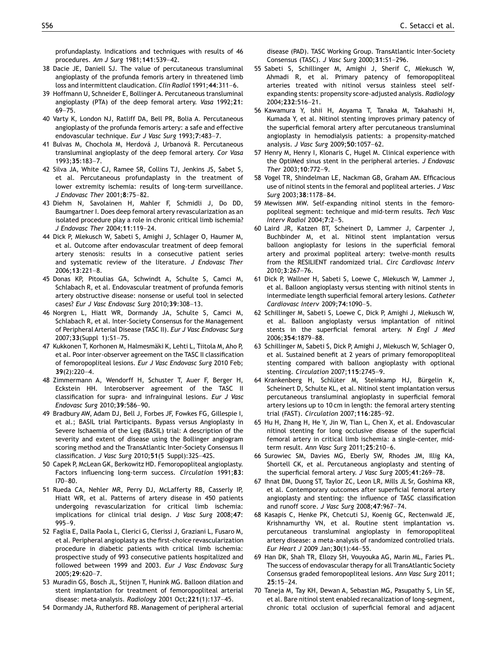profundaplasty. Indications and techniques with results of 46 procedures. Am J Surg 1981;141:539-42.

- 38 Dacie JE, Daniell SJ. The value of percutaneous transluminal angioplasty of the profunda femoris artery in threatened limb loss and intermittent claudication. Clin Radiol 1991;44:311-6.
- 39 Hoffmann U, Schneider E, Bollinger A. Percutaneous transluminal angioplasty (PTA) of the deep femoral artery. Vasa 1992;21:  $69 - 75.$
- 40 Varty K, London NJ, Ratliff DA, Bell PR, Bolia A. Percutaneous angioplasty of the profunda femoris artery: a safe and effective endovascular technique. Eur J Vasc Surg 1993;7:483-7.
- 41 Bulvas M, Chochola M, Herdová J, Urbanová R. Percutaneous transluminal angioplasty of the deep femoral artery. Cor Vasa 1993;35:183––7.
- 42 Silva JA, White CJ, Ramee SR, Collins TJ, Jenkins JS, Sabet S, et al. Percutaneous profundaplasty in the treatment of lower extremity ischemia: results of long-term surveillance. J Endovasc Ther 2001;8:75-82.
- 43 Diehm N, Savolainen H, Mahler F, Schmidli J, Do DD, Baumgartner I. Does deep femoral artery revascularization as an isolated procedure play a role in chronic critical limb ischemia? J Endovasc Ther 2004;11:119––24.
- 44 Dick P, Mlekusch W, Sabeti S, Amighi J, Schlager O, Haumer M, et al. Outcome after endovascular treatment of deep femoral artery stenosis: results in a consecutive patient series and systematic review of the literature. J Endovasc Ther 2006;13:221––8.
- 45 Donas KP, Pitoulias GA, Schwindt A, Schulte S, Camci M, Schlabach R, et al. Endovascular treatment of profunda femoris artery obstructive disease: nonsense or useful tool in selected cases? Eur J Vasc Endovasc Surg 2010;39:308-13.
- 46 Norgren L, Hiatt WR, Dormandy JA, Schulte S, Camci M, Schlabach R, et al. Inter-Society Consensus for the Management of Peripheral Arterial Disease (TASC II). Eur J Vasc Endovasc Surg 2007;33(Suppl 1):S1-75.
- 47 Kukkonen T, Korhonen M, Halmesmäki K, Lehti L, Tiitola M, Aho P, et al. Poor inter-observer agreement on the TASC II classification of femoropopliteal lesions. Eur J Vasc Endovasc Surg 2010 Feb;  $39(2):220-4.$
- 48 Zimmermann A, Wendorff H, Schuster T, Auer F, Berger H, Eckstein HH. Interobserver agreement of the TASC II classification for supra- and infrainguinal lesions. Eur J Vasc Endovasc Surg 2010;39:586––90.
- 49 Bradbury AW, Adam DJ, Bell J, Forbes JF, Fowkes FG, Gillespie I, et al.; BASIL trial Participants. Bypass versus Angioplasty in Severe Ischaemia of the Leg (BASIL) trial: A description of the severity and extent of disease using the Bollinger angiogram scoring method and the TransAtlantic Inter-Society Consensus II classification. J Vasc Surg 2010;51(5 Suppl):32S-42S.
- 50 Capek P, McLean GK, Berkowitz HD. Femoropopliteal angioplasty. Factors influencing long-term success. Circulation 1991;83:  $I70-80.$
- 51 Rueda CA, Nehler MR, Perry DJ, McLafferty RB, Casserly IP, Hiatt WR, et al. Patterns of artery disease in 450 patients undergoing revascularization for critical limb ischemia: implications for clinical trial design. J Vasc Surg 2008;47:  $995 - 9.$
- 52 Faglia E, Dalla Paola L, Clerici G, Clerissi J, Graziani L, Fusaro M, et al. Peripheral angioplasty as the first-choice revascularization procedure in diabetic patients with critical limb ischemia: prospective study of 993 consecutive patients hospitalized and followed between 1999 and 2003. Eur J Vasc Endovasc Surg 2005;29:620––7.
- 53 Muradin GS, Bosch JL, Stijnen T, Hunink MG. Balloon dilation and stent implantation for treatment of femoropopliteal arterial disease: meta-analysis. Radiology 2001 Oct; 221(1):137-45.
- 54 Dormandy JA, Rutherford RB. Management of peripheral arterial

disease (PAD). TASC Working Group. TransAtlantic Inter-Society Consensus (TASC). J Vasc Surg 2000; 31: S1-296.

- 55 Sabeti S, Schillinger M, Amighi J, Sherif C, Mlekusch W, Ahmadi R, et al. Primary patency of femoropopliteal arteries treated with nitinol versus stainless steel selfexpanding stents: propensity score-adjusted analysis. Radiology 2004;232:516––21.
- 56 Kawamura Y, Ishii H, Aoyama T, Tanaka M, Takahashi H, Kumada Y, et al. Nitinol stenting improves primary patency of the superficial femoral artery after percutaneous transluminal angioplasty in hemodialysis patients: a propensity-matched analysis. *J Vasc Surg* 2009;50:1057-62.
- 57 Henry M, Henry I, Klonaris C, Hugel M. Clinical experience with the OptiMed sinus stent in the peripheral arteries. J Endovasc Ther 2003;10:772-9.
- 58 Vogel TR, Shindelman LE, Nackman GB, Graham AM. Efficacious use of nitinol stents in the femoral and popliteal arteries. J Vasc Surg 2003:38:1178-84.
- 59 Mewissen MW. Self-expanding nitinol stents in the femoropopliteal segment: technique and mid-term results. Tech Vasc Interv Radiol 2004;7:2––5.
- 60 Laird JR, Katzen BT, Scheinert D, Lammer J, Carpenter J, Buchbinder M, et al. Nitinol stent implantation versus balloon angioplasty for lesions in the superficial femoral artery and proximal popliteal artery: twelve-month results from the RESILIENT randomized trial. Circ Cardiovasc Interv 2010;3:267––76.
- 61 Dick P, Wallner H, Sabeti S, Loewe C, Mlekusch W, Lammer J, et al. Balloon angioplasty versus stenting with nitinol stents in intermediate length superficial femoral artery lesions. Catheter Cardiovasc Interv 2009;74:1090––5.
- 62 Schillinger M, Sabeti S, Loewe C, Dick P, Amighi J, Mlekusch W, et al. Balloon angioplasty versus implantation of nitinol stents in the superficial femoral artery. N Engl J Med 2006;354:1879––88.
- 63 Schillinger M, Sabeti S, Dick P, Amighi J, Mlekusch W, Schlager O, et al. Sustained benefit at 2 years of primary femoropopliteal stenting compared with balloon angioplasty with optional stenting. Circulation 2007;115:2745––9.
- 64 Krankenberg H, Schlüter M, Steinkamp HJ, Bürgelin K, Scheinert D, Schulte KL, et al. Nitinol stent implantation versus percutaneous transluminal angioplasty in superficial femoral artery lesions up to 10 cm in length: the femoral artery stenting trial (FAST). Circulation 2007;116:285-92.
- 65 Hu H, Zhang H, He Y, Jin W, Tian L, Chen X, et al. Endovascular nitinol stenting for long occlusive disease of the superficial femoral artery in critical limb ischemia: a single-center, midterm result. Ann Vasc Surg 2011;25:210-6.
- 66 Surowiec SM, Davies MG, Eberly SW, Rhodes JM, Illig KA, Shortell CK, et al. Percutaneous angioplasty and stenting of the superficial femoral artery. J Vasc Surg 2005;41:269-78.
- 67 Ihnat DM, Duong ST, Taylor ZC, Leon LR, Mills JL Sr, Goshima KR, et al. Contemporary outcomes after superficial femoral artery angioplasty and stenting: the influence of TASC classification and runoff score. J Vasc Surg 2008;47:967-74.
- 68 Kasapis C, Henke PK, Chetcuti SJ, Koenig GC, Rectenwald JE, Krishnamurthy VN, et al. Routine stent implantation vs. percutaneous transluminal angioplasty in femoropopliteal artery disease: a meta-analysis of randomized controlled trials. Eur Heart J 2009 Jan; 30(1): 44-55.
- 69 Han DK, Shah TR, Ellozy SH, Vouyouka AG, Marin ML, Faries PL. The success of endovascular therapy for all TransAtlantic Society Consensus graded femoropopliteal lesions. Ann Vasc Surg 2011;  $25:15-24.$
- 70 Taneja M, Tay KH, Dewan A, Sebastian MG, Pasupathy S, Lin SE, et al. Bare nitinol stent enabled recanalization of long-segment, chronic total occlusion of superficial femoral and adjacent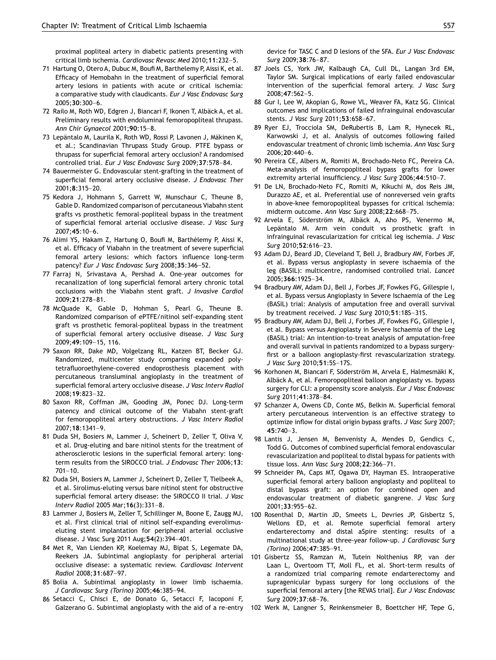proximal popliteal artery in diabetic patients presenting with critical limb ischemia. Cardiovasc Revasc Med 2010;11:232-5.

- 71 Hartung O, Otero A, Dubuc M, Boufi M, Barthelemy P, Aissi K, et al. Efficacy of Hemobahn in the treatment of superficial femoral artery lesions in patients with acute or critical ischemia: a comparative study with claudicants. Eur J Vasc Endovasc Surg  $2005:30:300-6$ .
- 72 Railo M, Roth WD, Edgren J, Biancari F, Ikonen T, Albäck A, et al. Preliminary results with endoluminal femoropopliteal thrupass. Ann Chir Gynaecol 2001;90:15-8.
- 73 Lepäntalo M, Laurila K, Roth WD, Rossi P, Lavonen J, Mäkinen K, et al.; Scandinavian Thrupass Study Group. PTFE bypass or thrupass for superficial femoral artery occlusion? A randomised controlled trial. Eur J Vasc Endovasc Surg 2009;37:578-84.
- 74 Bauermeister G. Endovascular stent-grafting in the treatment of superficial femoral artery occlusive disease. J Endovasc Ther 2001;8:315––20.
- 75 Kedora J, Hohmann S, Garrett W, Munschaur C, Theune B, Gable D. Randomized comparison of percutaneous Viabahn stent grafts vs prosthetic femoral-popliteal bypass in the treatment of superficial femoral arterial occlusive disease. J Vasc Surg  $2007:45:10-6.$
- 76 Alimi YS, Hakam Z, Hartung O, Boufi M, Barthèlemy P, Aissi K, et al. Efficacy of Viabahn in the treatment of severe superficial femoral artery lesions: which factors influence long-term patency? Eur J Vasc Endovasc Surg 2008;35:346-52.
- 77 Farraj N, Srivastava A, Pershad A. One-year outcomes for recanalization of long superficial femoral artery chronic total occlusions with the Viabahn stent graft. J Invasive Cardiol 2009;21:278––81.
- 78 McQuade K, Gable D, Hohman S, Pearl G, Theune B. Randomized comparison of ePTFE/nitinol self-expanding stent graft vs prosthetic femoral-popliteal bypass in the treatment of superficial femoral artery occlusive disease. J Vasc Surg 2009;49:109––15, 116.
- 79 Saxon RR, Dake MD, Volgelzang RL, Katzen BT, Becker GJ. Randomized, multicenter study comparing expanded polytetrafluoroethylene-covered endoprosthesis placement with percutaneous transluminal angioplasty in the treatment of superficial femoral artery occlusive disease. J Vasc Interv Radiol 2008;19:823––32.
- 80 Saxon RR, Coffman JM, Gooding JM, Ponec DJ. Long-term patency and clinical outcome of the Viabahn stent-graft for femoropopliteal artery obstructions. J Vasc Interv Radiol 2007;18:1341––9.
- 81 Duda SH, Bosiers M, Lammer J, Scheinert D, Zeller T, Oliva V, et al. Drug-eluting and bare nitinol stents for the treatment of atherosclerotic lesions in the superficial femoral artery: longterm results from the SIROCCO trial. J Endovasc Ther 2006;13:  $701 - 10$ .
- 82 Duda SH, Bosiers M, Lammer J, Scheinert D, Zeller T, Tielbeek A, et al. Sirolimus-eluting versus bare nitinol stent for obstructive superficial femoral artery disease: the SIROCCO II trial. J Vasc Interv Radiol 2005 Mar; 16(3): 331-8.
- 83 Lammer J, Bosiers M, Zeller T, Schillinger M, Boone E, Zaugg MJ, et al. First clinical trial of nitinol self-expanding everolimuseluting stent implantation for peripheral arterial occlusive disease. J Vasc Surg 2011 Aug; 54(2): 394-401.
- 84 Met R, Van Lienden KP, Koelemay MJ, Bipat S, Legemate DA, Reekers JA. Subintimal angioplasty for peripheral arterial occlusive disease: a systematic review. Cardiovasc Intervent Radiol 2008;31:687––97.
- 85 Bolia A. Subintimal angioplasty in lower limb ischaemia. J Cardiovasc Surg (Torino) 2005;46:385-94.
- 86 Setacci C, Chisci E, de Donato G, Setacci F, Iacoponi F, Galzerano G. Subintimal angioplasty with the aid of a re-entry

device for TASC C and D lesions of the SFA. Eur J Vasc Endovasc Surg 2009;38:76-87.

- 87 Joels CS, York JW, Kalbaugh CA, Cull DL, Langan 3rd EM, Taylor SM. Surgical implications of early failed endovascular intervention of the superficial femoral artery. J Vasc Surg 2008;47:562––5.
- 88 Gur I, Lee W, Akopian G, Rowe VL, Weaver FA, Katz SG. Clinical outcomes and implications of failed infrainguinal endovascular stents. J Vasc Surg 2011;53:658-67.
- 89 Ryer EJ, Trocciola SM, DeRubertis B, Lam R, Hynecek RL, Karwowski J, et al. Analysis of outcomes following failed endovascular treatment of chronic limb ischemia. Ann Vasc Surg 2006;20:440––6.
- 90 Pereira CE, Albers M, Romiti M, Brochado-Neto FC, Pereira CA. Meta-analysis of femoropopliteal bypass grafts for lower extremity arterial insufficiency. J Vasc Surg 2006;44:510-7.
- 91 De LN, Brochado-Neto FC, Romiti M, Kikuchi M, dos Reis JM, Durazzo AE, et al. Preferential use of nonreversed vein grafts in above-knee femoropopliteal bypasses for critical ischemia: midterm outcome. Ann Vasc Surg 2008;22:668––75.
- 92 Arvela E, Söderström M, Albäck A, Aho PS, Venermo M, Lepäntalo M. Arm vein conduit vs prosthetic graft in infrainguinal revascularization for critical leg ischemia. J Vasc Surg 2010;52:616-23.
- 93 Adam DJ, Beard JD, Cleveland T, Bell J, Bradbury AW, Forbes JF, et al. Bypass versus angioplasty in severe ischaemia of the leg (BASIL): multicentre, randomised controlled trial. Lancet 2005;366:1925––34.
- 94 Bradbury AW, Adam DJ, Bell J, Forbes JF, Fowkes FG, Gillespie I, et al. Bypass versus Angioplasty in Severe Ischaemia of the Leg (BASIL) trial: Analysis of amputation free and overall survival by treatment received. J Vasc Surg 2010;51:18S-31S.
- 95 Bradbury AW, Adam DJ, Bell J, Forbes JF, Fowkes FG, Gillespie I, et al. Bypass versus Angioplasty in Severe Ischaemia of the Leg (BASIL) trial: An intention-to-treat analysis of amputation-free and overall survival in patients randomized to a bypass surgeryfirst or a balloon angioplasty-first revascularization strategy. J Vasc Surg 2010;51:5S––17S.
- 96 Korhonen M, Biancari F, Söderström M, Arvela E, Halmesmäki K, Albäck A, et al. Femoropopliteal balloon angioplasty vs. bypass surgery for CLI: a propensity score analysis. Eur J Vasc Endovasc Surg 2011;41:378-84.
- 97 Schanzer A, Owens CD, Conte MS, Belkin M. Superficial femoral artery percutaneous intervention is an effective strategy to optimize inflow for distal origin bypass grafts. J Vasc Surg 2007; 45:740-3.
- 98 Lantis J, Jensen M, Benvenisty A, Mendes D, Gendics C, Todd G. Outcomes of combined superficial femoral endovascular revascularization and popliteal to distal bypass for patients with tissue loss. Ann Vasc Surg 2008;22:366––71.
- 99 Schneider PA, Caps MT, Ogawa DY, Hayman ES. Intraoperative superficial femoral artery balloon angioplasty and popliteal to distal bypass graft: an option for combined open and endovascular treatment of diabetic gangrene. J Vasc Surg 2001;33:955––62.
- 100 Rosenthal D, Martin JD, Smeets L, Devries JP, Gisbertz S, Wellons ED, et al. Remote superficial femoral artery endarterectomy and distal aSpire stenting: results of a multinational study at three-year follow-up. J Cardiovasc Surg (Torino) 2006;47:385––91.
- 101 Gisbertz SS, Ramzan M, Tutein Nolthenius RP, van der Laan L, Overtoom TT, Moll FL, et al. Short-term results of a randomized trial comparing remote endarterectomy and supragenicular bypass surgery for long occlusions of the superficial femoral artery [the REVAS trial]. Eur J Vasc Endovasc Surg 2009;37:68-76.
- 102 Werk M, Langner S, Reinkensmeier B, Boettcher HF, Tepe G,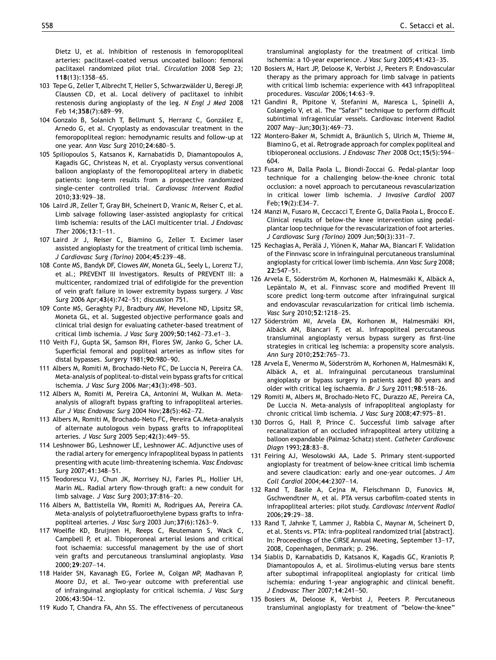Dietz U, et al. Inhibition of restenosis in femoropopliteal arteries: paclitaxel-coated versus uncoated balloon: femoral paclitaxel randomized pilot trial. Circulation 2008 Sep 23; 118(13):1358-65.

- 103 Tepe G, Zeller T, Albrecht T, Heller S, Schwarzwälder U, Beregi JP, Claussen CD, et al. Local delivery of paclitaxel to inhibit restenosis during angioplasty of the leg. N Engl J Med 2008 Feb 14;358(7):689-99.
- 104 Gonzalo B, Solanich T, Bellmunt S, Herranz C, González E, Arnedo G, et al. Cryoplasty as endovascular treatment in the femoropopliteal region: hemodynamic results and follow-up at one year. Ann Vasc Surg 2010; 24:680-5.
- 105 Spiliopoulos S, Katsanos K, Karnabatidis D, Diamantopoulos A, Kagadis GC, Christeas N, et al. Cryoplasty versus conventional balloon angioplasty of the femoropopliteal artery in diabetic patients: long-term results from a prospective randomized single-center controlled trial. Cardiovasc Intervent Radiol 2010;33:929––38.
- 106 Laird JR, Zeller T, Gray BH, Scheinert D, Vranic M, Reiser C, et al. Limb salvage following laser-assisted angioplasty for critical limb ischemia: results of the LACI multicenter trial. J Endovasc Ther  $2006:13:1-11$ .
- 107 Laird Jr J, Reiser C, Biamino G, Zeller T. Excimer laser assisted angioplasty for the treatment of critical limb ischemia. J Cardiovasc Surg (Torino) 2004;45:239-48.
- 108 Conte MS, Bandyk DF, Clowes AW, Moneta GL, Seely L, Lorenz TJ, et al.; PREVENT III Investigators. Results of PREVENT III: a multicenter, randomized trial of edifoligide for the prevention of vein graft failure in lower extremity bypass surgery. J Vasc Surg 2006 Apr; 43(4): 742 - 51; discussion 751.
- 109 Conte MS, Geraghty PJ, Bradbury AW, Hevelone ND, Lipsitz SR, Moneta GL, et al. Suggested objective performance goals and clinical trial design for evaluating catheter-based treatment of critical limb ischemia. J Vasc Surg 2009;50:1462-73.e1-3.
- 110 Veith FJ, Gupta SK, Samson RH, Flores SW, Janko G, Scher LA. Superficial femoral and popliteal arteries as inflow sites for distal bypasses. Surgery 1981;90:980-90.
- 111 Albers M, Romiti M, Brochado-Neto FC, De Luccia N, Pereira CA. Meta-analysis of popliteal-to-distal vein bypass grafts for critical ischemia. J Vasc Surg 2006 Mar; 43(3): 498-503.
- 112 Albers M, Romiti M, Pereira CA, Antonini M, Wulkan M. Metaanalysis of allograft bypass grafting to infrapopliteal arteries. Eur J Vasc Endovasc Surg 2004 Nov; 28(5): 462-72.
- 113 Albers M, Romiti M, Brochado-Neto FC, Pereira CA.Meta-analysis of alternate autologous vein bypass grafts to infrapopliteal arteries. J Vasc Surg 2005 Sep; 42(3): 449-55.
- 114 Leshnower BG, Leshnower LE, Leshnower AC. Adjunctive uses of the radial artery for emergency infrapopliteal bypass in patients presenting with acute limb-threatening ischemia. Vasc Endovasc Surg 2007;41:348-51.
- 115 Teodorescu VJ, Chun JK, Morrisey NJ, Faries PL, Hollier LH, Marin ML. Radial artery flow-through graft: a new conduit for limb salvage. J Vasc Surg 2003;37:816-20.
- 116 Albers M, Battistella VM, Romiti M, Rodrigues AA, Pereira CA. Meta-analysis of polytetrafluoroethylene bypass grafts to infrapopliteal arteries. J Vasc Surg 2003 Jun;37(6):1263––9.
- 117 Woelfle KD, Bruijnen H, Reeps C, Reutemann S, Wack C, Campbell P, et al. Tibioperoneal arterial lesions and critical foot ischaemia: successful management by the use of short vein grafts and percutaneous transluminal angioplasty. Vasa 2000;29:207––14.
- 118 Haider SN, Kavanagh EG, Forlee M, Colgan MP, Madhavan P, Moore DJ, et al. Two-year outcome with preferential use of infrainguinal angioplasty for critical ischemia. J Vasc Surg 2006;43:504––12.
- 119 Kudo T, Chandra FA, Ahn SS. The effectiveness of percutaneous

transluminal angioplasty for the treatment of critical limb ischemia: a 10-year experience. J Vasc Surg 2005;41:423-35.

- 120 Bosiers M, Hart JP, Deloose K, Verbist J, Peeters P. Endovascular therapy as the primary approach for limb salvage in patients with critical limb ischemia: experience with 443 infrapopliteal procedures. Vascular 2006;14:63-9.
- 121 Gandini R, Pipitone V, Stefanini M, Maresca L, Spinelli A, Colangelo V, et al. The "Safari" technique to perform difficult subintimal infragenicular vessels. Cardiovasc Intervent Radiol 2007 May-Jun; 30(3): 469-73.
- 122 Montero-Baker M, Schmidt A, Bräunlich S, Ulrich M, Thieme M, Biamino G, et al. Retrograde approach for complex popliteal and tibioperoneal occlusions. J Endovasc Ther 2008 Oct; 15(5): 594-604.
- 123 Fusaro M, Dalla Paola L, Biondi-Zoccai G. Pedal-plantar loop technique for a challenging below-the-knee chronic total occlusion: a novel approach to percutaneous revascularization in critical lower limb ischemia. J Invasive Cardiol 2007  $Feb: 19(2):E34-7.$
- 124 Manzi M, Fusaro M, Ceccacci T, Erente G, Dalla Paola L, Brocco E. Clinical results of below-the knee intervention using pedalplantar loop technique for the revascularization of foot arteries. J Cardiovasc Surg (Torino) 2009 Jun;50(3):331––7.
- 125 Kechagias A, Perälä J, Ylönen K, Mahar MA, Biancari F. Validation of the Finnvasc score in infrainguinal percutaneous transluminal angioplasty for critical lower limb ischemia. Ann Vasc Surg 2008;  $22:547 - 51.$
- 126 Arvela E, Söderström M, Korhonen M, Halmesmäki K, Albäck A, Lepäntalo M, et al. Finnvasc score and modified Prevent III score predict long-term outcome after infrainguinal surgical and endovascular revascularization for critical limb ischemia. Vasc Surg 2010;52:1218-25.
- 127 Söderström MI, Arvela EM, Korhonen M, Halmesmäki KH, Albäck AN, Biancari F, et al. Infrapopliteal percutaneous transluminal angioplasty versus bypass surgery as first-line strategies in critical leg ischemia: a propensity score analysis. Ann Surg 2010; 252: 765-73.
- 128 Arvela E, Venermo M, Söderström M, Korhonen M, Halmesmäki K, Albäck A, et al. Infrainguinal percutaneous transluminal angioplasty or bypass surgery in patients aged 80 years and older with critical leg ischaemia. Br J Surg 2011;98:518-26.
- 129 Romiti M, Albers M, Brochado-Neto FC, Durazzo AE, Pereira CA, De Luccia N. Meta-analysis of infrapopliteal angioplasty for chronic critical limb ischemia. J Vasc Surg 2008;47:975-81.
- 130 Dorros G, Hall P, Prince C. Successful limb salvage after recanalization of an occluded infrapopliteal artery utilizing a balloon expandable (Palmaz-Schatz) stent. Catheter Cardiovasc Diagn 1993; 28:83-8.
- 131 Feiring AJ, Wesolowski AA, Lade S. Primary stent-supported angioplasty for treatment of below-knee critical limb ischemia and severe claudication: early and one-year outcomes. J Am Coll Cardiol 2004;44:2307-14.
- 132 Rand T, Basile A, Cejna M, Fleischmann D, Funovics M, Gschwendtner M, et al. PTA versus carbofilm-coated stents in infrapopliteal arteries: pilot study. Cardiovasc Intervent Radiol 2006;29:29––38.
- 133 Rand T, Jahnke T, Lammer J, Rabbia C, Maynar M, Scheinert D, et al. Stents vs. PTA: infra-popliteal randomized trial [abstract]. In: Proceedings of the CIRSE Annual Meeting, September 13-17, 2008, Copenhagen, Denmark; p. 296.
- 134 Siablis D, Karnabatidis D, Katsanos K, Kagadis GC, Kraniotis P, Diamantopoulos A, et al. Sirolimus-eluting versus bare stents after suboptimal infrapopliteal angioplasty for critical limb ischemia: enduring 1-year angiographic and clinical benefit. J Endovasc Ther 2007; 14:241-50.
- 135 Bosiers M, Deloose K, Verbist J, Peeters P. Percutaneous transluminal angioplasty for treatment of "below-the-knee"